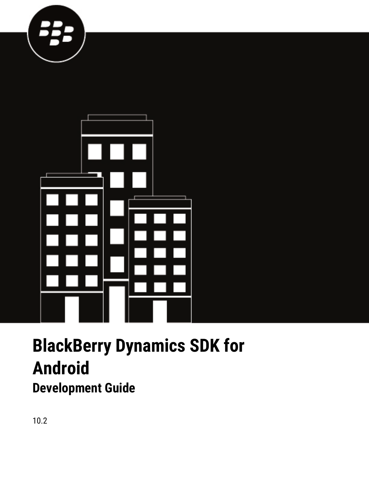



# **BlackBerry Dynamics SDK for Android Development Guide**

10.2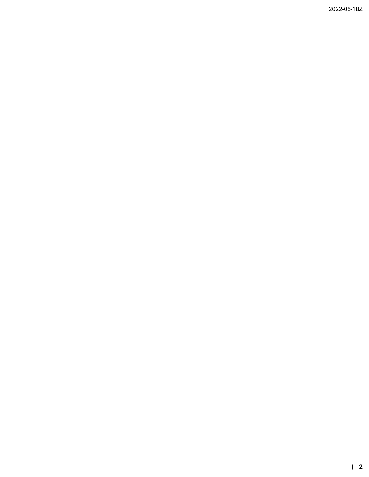2022-05-18Z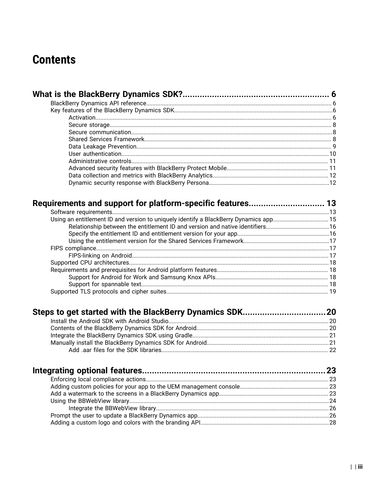# **Contents**

| Requirements and support for platform-specific features 13                            |  |
|---------------------------------------------------------------------------------------|--|
|                                                                                       |  |
| Using an entitlement ID and version to uniquely identify a BlackBerry Dynamics app 15 |  |
| Relationship between the entitlement ID and version and native identifiers16          |  |
|                                                                                       |  |
|                                                                                       |  |
|                                                                                       |  |
|                                                                                       |  |
|                                                                                       |  |
|                                                                                       |  |
|                                                                                       |  |
|                                                                                       |  |
|                                                                                       |  |
|                                                                                       |  |
|                                                                                       |  |
|                                                                                       |  |
|                                                                                       |  |
|                                                                                       |  |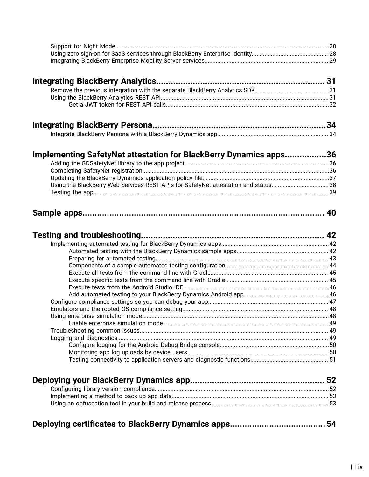| Implementing SafetyNet attestation for BlackBerry Dynamics apps36 |  |
|-------------------------------------------------------------------|--|
|                                                                   |  |
|                                                                   |  |
|                                                                   |  |
|                                                                   |  |
|                                                                   |  |
|                                                                   |  |
|                                                                   |  |
|                                                                   |  |
|                                                                   |  |
|                                                                   |  |
|                                                                   |  |
|                                                                   |  |
|                                                                   |  |
|                                                                   |  |
|                                                                   |  |
|                                                                   |  |
|                                                                   |  |
|                                                                   |  |
|                                                                   |  |
|                                                                   |  |
|                                                                   |  |
|                                                                   |  |
|                                                                   |  |
|                                                                   |  |
|                                                                   |  |
|                                                                   |  |
|                                                                   |  |
|                                                                   |  |
|                                                                   |  |
|                                                                   |  |
|                                                                   |  |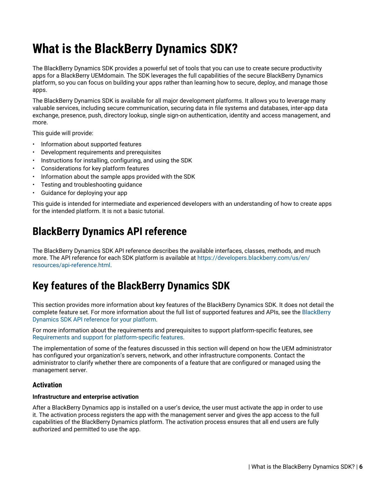# <span id="page-5-0"></span>**What is the BlackBerry Dynamics SDK?**

The BlackBerry Dynamics SDK provides a powerful set of tools that you can use to create secure productivity apps for a BlackBerry UEMdomain. The SDK leverages the full capabilities of the secure BlackBerry Dynamics platform, so you can focus on building your apps rather than learning how to secure, deploy, and manage those apps.

The BlackBerry Dynamics SDK is available for all major development platforms. It allows you to leverage many valuable services, including secure communication, securing data in file systems and databases, inter-app data exchange, presence, push, directory lookup, single sign-on authentication, identity and access management, and more.

This guide will provide:

- Information about supported features
- Development requirements and prerequisites
- Instructions for installing, configuring, and using the SDK
- Considerations for key platform features
- Information about the sample apps provided with the SDK
- Testing and troubleshooting guidance
- Guidance for deploying your app

This guide is intended for intermediate and experienced developers with an understanding of how to create apps for the intended platform. It is not a basic tutorial.

### <span id="page-5-1"></span>**BlackBerry Dynamics API reference**

The BlackBerry Dynamics SDK API reference describes the available interfaces, classes, methods, and much more. The API reference for each SDK platform is available at [https://developers.blackberry.com/us/en/](https://developers.blackberry.com/us/en/resources/api-reference.html) [resources/api-reference.html](https://developers.blackberry.com/us/en/resources/api-reference.html).

# <span id="page-5-2"></span>**Key features of the BlackBerry Dynamics SDK**

This section provides more information about key features of the BlackBerry Dynamics SDK. It does not detail the complete feature set. For more information about the full list of supported features and APIs, see the [BlackBerry](https://developers.blackberry.com/us/en/resources/api-reference.html) [Dynamics SDK API reference for your platform.](https://developers.blackberry.com/us/en/resources/api-reference.html)

For more information about the requirements and prerequisites to support platform-specific features, see [Requirements and support for platform-specific features.](#page-12-0)

The implementation of some of the features discussed in this section will depend on how the UEM administrator has configured your organization's servers, network, and other infrastructure components. Contact the administrator to clarify whether there are components of a feature that are configured or managed using the management server.

### <span id="page-5-3"></span>**Activation**

#### **Infrastructure and enterprise activation**

After a BlackBerry Dynamics app is installed on a user's device, the user must activate the app in order to use it. The activation process registers the app with the management server and gives the app access to the full capabilities of the BlackBerry Dynamics platform. The activation process ensures that all end users are fully authorized and permitted to use the app.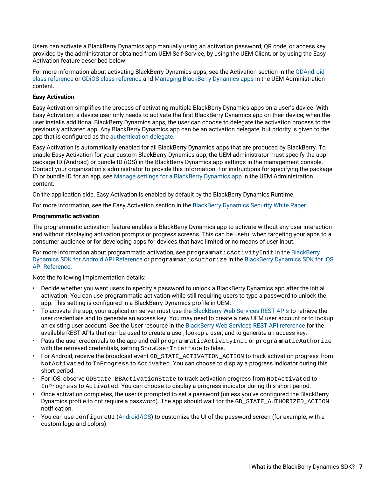Users can activate a BlackBerry Dynamics app manually using an activation password, QR code, or access key provided by the administrator or obtained from UEM Self-Service, by using the UEM Client, or by using the Easy Activation feature described below.

For more information about activating BlackBerry Dynamics apps, see the Activation section in the [GDAndroid](https://developer.blackberry.com/files/blackberry-dynamics/android/classcom_1_1good_1_1gd_1_1_g_d_android.html) [class reference](https://developer.blackberry.com/files/blackberry-dynamics/android/classcom_1_1good_1_1gd_1_1_g_d_android.html) or [GDiOS class reference](https://developer.blackberry.com/files/blackberry-dynamics/ios/interface_g_di_o_s.html) and [Managing BlackBerry Dynamics apps](https://docs.blackberry.com/en/endpoint-management/blackberry-uem/current/administration/blackberry-dynamics) in the UEM Administration content.

### **Easy Activation**

Easy Activation simplifies the process of activating multiple BlackBerry Dynamics apps on a user's device. With Easy Activation, a device user only needs to activate the first BlackBerry Dynamics app on their device; when the user installs additional BlackBerry Dynamics apps, the user can choose to delegate the activation process to the previously activated app. Any BlackBerry Dynamics app can be an activation delegate, but priority is given to the app that is configured as the [authentication delegate](#page-9-0).

Easy Activation is automatically enabled for all BlackBerry Dynamics apps that are produced by BlackBerry. To enable Easy Activation for your custom BlackBerry Dynamics app, the UEM administrator must specify the app package ID (Android) or bundle ID (iOS) in the BlackBerry Dynamics app settings in the management console. Contact your organization's administrator to provide this information. For instructions for specifying the package ID or bundle ID for an app, see [Manage settings for a BlackBerry Dynamics app](https://docs.blackberry.com/en/endpoint-management/blackberry-uem/current/administration/blackberry-dynamics/vvq1471962941016) in the UEM Administration content.

On the application side, Easy Activation is enabled by default by the BlackBerry Dynamics Runtime.

For more information, see the Easy Activation section in the [BlackBerry Dynamics Security White Paper.](https://docs.blackberry.com/content/dam/docs-blackberry-com/release-pdfs/en/blackberry-dynamics/BlackBerry%20Dynamics%20Security%20White%20Paper.pdf)

#### **Programmatic activation**

The programmatic activation feature enables a BlackBerry Dynamics app to activate without any user interaction and without displaying activation prompts or progress screens. This can be useful when targeting your apps to a consumer audience or for developing apps for devices that have limited or no means of user input.

For more information about programmatic activation, see programmaticActivityInit in the [BlackBerry](https://developer.blackberry.com/files/blackberry-dynamics/android/classcom_1_1good_1_1gd_1_1_g_d_android.html#a7323a7df6d53fc8e5f06f4c757404c09) [Dynamics SDK for Android API Reference](https://developer.blackberry.com/files/blackberry-dynamics/android/classcom_1_1good_1_1gd_1_1_g_d_android.html#a7323a7df6d53fc8e5f06f4c757404c09) or programmaticAuthorize in the [BlackBerry Dynamics SDK for iOS](https://developer.blackberry.com/files/blackberry-dynamics/ios/interface_g_di_o_s.html#a5e18b7d1750883d36817c82b7eba3afb) [API Reference.](https://developer.blackberry.com/files/blackberry-dynamics/ios/interface_g_di_o_s.html#a5e18b7d1750883d36817c82b7eba3afb)

Note the following implementation details:

- Decide whether you want users to specify a password to unlock a BlackBerry Dynamics app after the initial activation. You can use programmatic activation while still requiring users to type a password to unlock the app. This setting is configured in a BlackBerry Dynamics profile in UEM.
- To activate the app, your application server must use the [BlackBerry Web Services REST APIs](https://docs.blackberry.com/en/development-tools/blackberry-web-services-for-blackberry-uem/) to retrieve the user credentials and to generate an access key. You may need to create a new UEM user account or to lookup an existing user account. See the User resource in the [BlackBerry Web Services REST API reference](https://docs.blackberry.com/en/development-tools/blackberry-web-services-for-blackberry-uem/) for the available REST APIs that can be used to create a user, lookup a user, and to generate an access key.
- Pass the user credentials to the app and call programmaticActivityInit or programmaticAuthorize with the retrieved credentials, setting ShowUserInterface to false.
- For Android, receive the broadcast event GD\_STATE\_ACTIVATION\_ACTION to track activation progress from NotActivated to InProgress to Activated. You can choose to display a progress indicator during this short period.
- For iOS, observe GDState.BBActivationState to track activation progress from NotActivated to InProgress to Activated. You can choose to display a progress indicator during this short period.
- Once activation completes, the user is prompted to set a password (unless you've configured the BlackBerry Dynamics profile to not require a password). The app should wait for the GD\_STATE\_AUTHORIZED\_ACTION notification.
- You can use configureUI ([Android/](https://developer.blackberry.com/files/blackberry-dynamics/android/classcom_1_1good_1_1gd_1_1_g_d_android.html#a745a99d166c1d5e497d71f56b32d8904)[iOS\)](https://developer.blackberry.com/files/blackberry-dynamics/ios/interface_g_di_o_s.html#a6e47e48d17ab541c99d4c296b239de58) to customize the UI of the password screen (for example, with a custom logo and colors).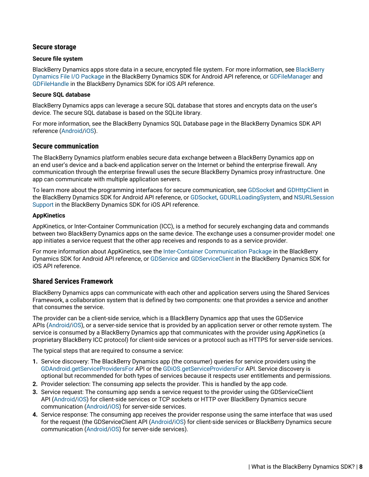### <span id="page-7-0"></span>**Secure storage**

#### **Secure file system**

BlackBerry Dynamics apps store data in a secure, encrypted file system. For more information, see [BlackBerry](https://developer.blackberry.com/files/blackberry-dynamics/android/namespacecom_1_1good_1_1gd_1_1file.html) [Dynamics File I/O Package](https://developer.blackberry.com/files/blackberry-dynamics/android/namespacecom_1_1good_1_1gd_1_1file.html) in the BlackBerry Dynamics SDK for Android API reference, or [GDFileManager](https://developer.blackberry.com/files/blackberry-dynamics/ios/interface_g_d_file_manager.html) and [GDFileHandle](https://developer.blackberry.com/files/blackberry-dynamics/ios/interface_g_d_file_handle.html) in the BlackBerry Dynamics SDK for iOS API reference.

#### **Secure SQL database**

BlackBerry Dynamics apps can leverage a secure SQL database that stores and encrypts data on the user's device. The secure SQL database is based on the SQLite library.

For more information, see the BlackBerry Dynamics SQL Database page in the BlackBerry Dynamics SDK API reference [\(Android/](https://developer.blackberry.com/files/blackberry-dynamics/android/namespacecom_1_1good_1_1gd_1_1database.html)[iOS](https://developer.blackberry.com/files/blackberry-dynamics/ios/sqlite.html)).

### <span id="page-7-1"></span>**Secure communication**

The BlackBerry Dynamics platform enables secure data exchange between a BlackBerry Dynamics app on an end user's device and a back-end application server on the Internet or behind the enterprise firewall. Any communication through the enterprise firewall uses the secure BlackBerry Dynamics proxy infrastructure. One app can communicate with multiple application servers.

To learn more about the programming interfaces for secure communication, see [GDSocket](https://developer.blackberry.com/files/blackberry-dynamics/android/classcom_1_1good_1_1gd_1_1net_1_1_g_d_socket.html) and [GDHttpClient](https://developer.blackberry.com/files/blackberry-dynamics/android/classcom_1_1good_1_1gd_1_1net_1_1_g_d_http_client.html) in the BlackBerry Dynamics SDK for Android API reference, or [GDSocket](https://developer.blackberry.com/devzone/files/blackberry-dynamics/ios/interface_g_d_socket.html), [GDURLLoadingSystem,](https://developer.blackberry.com/devzone/files/blackberry-dynamics/ios/interface_g_d_u_r_l_loading_system.html) and [NSURLSession](https://developer.blackberry.com/files/blackberry-dynamics/ios/nsurlsession_support.html) [Support](https://developer.blackberry.com/files/blackberry-dynamics/ios/nsurlsession_support.html) in the BlackBerry Dynamics SDK for iOS API reference.

### **AppKinetics**

AppKinetics, or Inter-Container Communication (ICC), is a method for securely exchanging data and commands between two BlackBerry Dynamics apps on the same device. The exchange uses a consumer-provider model: one app initiates a service request that the other app receives and responds to as a service provider.

For more information about AppKinetics, see the [Inter-Container Communication Package](https://developer.blackberry.com/files/blackberry-dynamics/android/namespacecom_1_1good_1_1gd_1_1icc.html) in the BlackBerry Dynamics SDK for Android API reference, or [GDService](https://developer.blackberry.com/files/blackberry-dynamics/ios/interface_g_d_service.html) and [GDServiceClient](https://developer.blackberry.com/files/blackberry-dynamics/ios/interface_g_d_service_client.html) in the BlackBerry Dynamics SDK for iOS API reference.

### <span id="page-7-2"></span>**Shared Services Framework**

BlackBerry Dynamics apps can communicate with each other and application servers using the Shared Services Framework, a collaboration system that is defined by two components: one that provides a service and another that consumes the service.

The provider can be a client-side service, which is a BlackBerry Dynamics app that uses the GDService APIs ([Android](https://developer.blackberry.com/files/blackberry-dynamics/android/classcom_1_1good_1_1gd_1_1icc_1_1_g_d_service.html)[/iOS\)](https://developer.blackberry.com/files/blackberry-dynamics/ios/interface_g_d_service.html), or a server-side service that is provided by an application server or other remote system. The service is consumed by a BlackBerry Dynamics app that communicates with the provider using AppKinetics (a proprietary BlackBerry ICC protocol) for client-side services or a protocol such as HTTPS for server-side services.

The typical steps that are required to consume a service:

- **1.** Service discovery: The BlackBerry Dynamics app (the consumer) queries for service providers using the [GDAndroid.getServiceProvidersFor](https://developer.blackberry.com/files/blackberry-dynamics/android/classcom_1_1good_1_1gd_1_1_g_d_android.html) API or the [GDiOS.getServiceProvidersFor](https://developer.blackberry.com/files/blackberry-dynamics/ios/interface_g_di_o_s.html) API. Service discovery is optional but recommended for both types of services because it respects user entitlements and permissions.
- **2.** Provider selection: The consuming app selects the provider. This is handled by the app code.
- **3.** Service request: The consuming app sends a service request to the provider using the GDServiceClient API ([Android](https://developer.blackberry.com/files/blackberry-dynamics/android/classcom_1_1good_1_1gd_1_1icc_1_1_g_d_service_client.html)[/iOS\)](https://developer.blackberry.com/files/blackberry-dynamics/ios/interface_g_d_service_client.html) for client-side services or TCP sockets or HTTP over BlackBerry Dynamics secure communication [\(Android](https://developer.blackberry.com/files/blackberry-dynamics/android/index.html)[/iOS\)](https://developer.blackberry.com/files/blackberry-dynamics/ios/index.html) for server-side services.
- **4.** Service response: The consuming app receives the provider response using the same interface that was used for the request (the GDServiceClient API ([Android](https://developer.blackberry.com/files/blackberry-dynamics/android/classcom_1_1good_1_1gd_1_1icc_1_1_g_d_service_client.html)/[iOS\)](https://developer.blackberry.com/files/blackberry-dynamics/ios/interface_g_d_service_client.html) for client-side services or BlackBerry Dynamics secure communication [\(Android](https://developer.blackberry.com/files/blackberry-dynamics/android/index.html)[/iOS\)](https://developer.blackberry.com/files/blackberry-dynamics/ios/index.html) for server-side services).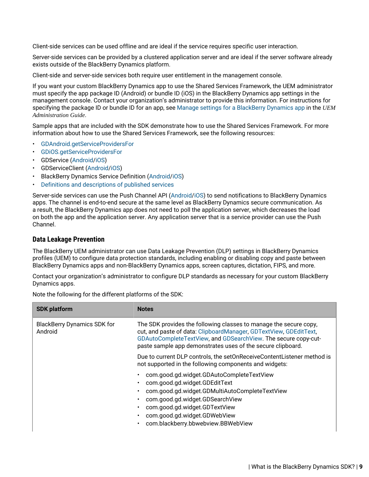Client-side services can be used offline and are ideal if the service requires specific user interaction.

Server-side services can be provided by a clustered application server and are ideal if the server software already exists outside of the BlackBerry Dynamics platform.

Client-side and server-side services both require user entitlement in the management console.

If you want your custom BlackBerry Dynamics app to use the Shared Services Framework, the UEM administrator must specify the app package ID (Android) or bundle ID (iOS) in the BlackBerry Dynamics app settings in the management console. Contact your organization's administrator to provide this information. For instructions for specifying the package ID or bundle ID for an app, see [Manage settings for a BlackBerry Dynamics app](https://docs.blackberry.com/en/endpoint-management/blackberry-uem/current/administration/blackberry-dynamics/vvq1471962941016) in the *UEM Administration Guide*.

Sample apps that are included with the SDK demonstrate how to use the Shared Services Framework. For more information about how to use the Shared Services Framework, see the following resources:

- [GDAndroid.getServiceProvidersFor](https://developer.blackberry.com/files/blackberry-dynamics/android/classcom_1_1good_1_1gd_1_1_g_d_android.html)
- [GDiOS.getServiceProvidersFor](https://developer.blackberry.com/files/blackberry-dynamics/ios/interface_g_di_o_s.html)
- GDService ([Android/](https://developer.blackberry.com/files/blackberry-dynamics/android/classcom_1_1good_1_1gd_1_1icc_1_1_g_d_service.html)[iOS\)](https://developer.blackberry.com/files/blackberry-dynamics/ios/interface_g_d_service.html)
- GDServiceClient [\(Android](https://developer.blackberry.com/files/blackberry-dynamics/android/classcom_1_1good_1_1gd_1_1icc_1_1_g_d_service_client.html)[/iOS](https://developer.blackberry.com/files/blackberry-dynamics/ios/interface_g_d_service_client.html))
- BlackBerry Dynamics Service Definition ([Android](https://developer.blackberry.com/files/blackberry-dynamics/android/_i_c_c_service_definition.html)[/iOS\)](https://developer.blackberry.com/files/blackberry-dynamics/ios/_i_c_c_service_definition.html)
- [Definitions and descriptions of published services](https://marketplace.blackberry.com/services)

Server-side services can use the Push Channel API ([Android](https://developer.blackberry.com/files/blackberry-dynamics/android/_g_n_p.html)[/iOS\)](https://developer.blackberry.com/files/blackberry-dynamics/ios/_g_n_p.html) to send notifications to BlackBerry Dynamics apps. The channel is end-to-end secure at the same level as BlackBerry Dynamics secure communication. As a result, the BlackBerry Dynamics app does not need to poll the application server, which decreases the load on both the app and the application server. Any application server that is a service provider can use the Push Channel.

### <span id="page-8-0"></span>**Data Leakage Prevention**

The BlackBerry UEM administrator can use Data Leakage Prevention (DLP) settings in BlackBerry Dynamics profiles (UEM) to configure data protection standards, including enabling or disabling copy and paste between BlackBerry Dynamics apps and non-BlackBerry Dynamics apps, screen captures, dictation, FIPS, and more.

Contact your organization's administrator to configure DLP standards as necessary for your custom BlackBerry Dynamics apps.

| <b>SDK platform</b>                           | <b>Notes</b>                                                                                                                                                                                                                                                            |
|-----------------------------------------------|-------------------------------------------------------------------------------------------------------------------------------------------------------------------------------------------------------------------------------------------------------------------------|
| <b>BlackBerry Dynamics SDK for</b><br>Android | The SDK provides the following classes to manage the secure copy,<br>cut, and paste of data: ClipboardManager, GDTextView, GDEditText,<br>GDAutoCompleteTextView, and GDSearchView. The secure copy-cut-<br>paste sample app demonstrates uses of the secure clipboard. |
|                                               | Due to current DLP controls, the setOnReceiveContentListener method is<br>not supported in the following components and widgets:                                                                                                                                        |
|                                               | com.good.gd.widget.GDAutoCompleteTextView<br>com.good.gd.widget.GDEditText<br>com.good.gd.widget.GDMultiAutoCompleteTextView<br>com.good.gd.widget.GDSearchView<br>com.good.gd.widget.GDTextView<br>com.good.gd.widget.GDWebView<br>com.blackberry.bbwebview.BBWebView  |

Note the following for the different platforms of the SDK: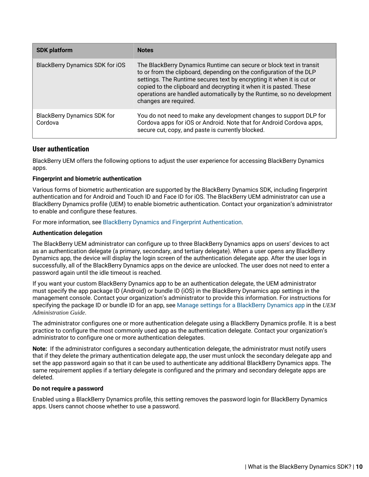| <b>SDK platform</b>                           | <b>Notes</b>                                                                                                                                                                                                                                                                                                                                                                                 |
|-----------------------------------------------|----------------------------------------------------------------------------------------------------------------------------------------------------------------------------------------------------------------------------------------------------------------------------------------------------------------------------------------------------------------------------------------------|
| BlackBerry Dynamics SDK for iOS               | The BlackBerry Dynamics Runtime can secure or block text in transit<br>to or from the clipboard, depending on the configuration of the DLP<br>settings. The Runtime secures text by encrypting it when it is cut or<br>copied to the clipboard and decrypting it when it is pasted. These<br>operations are handled automatically by the Runtime, so no development<br>changes are required. |
| <b>BlackBerry Dynamics SDK for</b><br>Cordova | You do not need to make any development changes to support DLP for<br>Cordova apps for iOS or Android. Note that for Android Cordova apps,<br>secure cut, copy, and paste is currently blocked.                                                                                                                                                                                              |

### <span id="page-9-0"></span>**User authentication**

BlackBerry UEM offers the following options to adjust the user experience for accessing BlackBerry Dynamics apps.

#### **Fingerprint and biometric authentication**

Various forms of biometric authentication are supported by the BlackBerry Dynamics SDK, including fingerprint authentication and for Android and Touch ID and Face ID for iOS. The BlackBerry UEM administrator can use a BlackBerry Dynamics profile (UEM) to enable biometric authentication. Contact your organization's administrator to enable and configure these features.

For more information, see [BlackBerry Dynamics and Fingerprint Authentication](https://developers.blackberry.com/content/dam/developer-blackberry-com/resource-assets/pdf/whitepaper_fingerprint.pdf).

#### **Authentication delegation**

The BlackBerry UEM administrator can configure up to three BlackBerry Dynamics apps on users' devices to act as an authentication delegate (a primary, secondary, and tertiary delegate). When a user opens any BlackBerry Dynamics app, the device will display the login screen of the authentication delegate app. After the user logs in successfully, all of the BlackBerry Dynamics apps on the device are unlocked. The user does not need to enter a password again until the idle timeout is reached.

If you want your custom BlackBerry Dynamics app to be an authentication delegate, the UEM administrator must specify the app package ID (Android) or bundle ID (iOS) in the BlackBerry Dynamics app settings in the management console. Contact your organization's administrator to provide this information. For instructions for specifying the package ID or bundle ID for an app, see [Manage settings for a BlackBerry Dynamics app](https://docs.blackberry.com/en/endpoint-management/blackberry-uem/current/administration/blackberry-dynamics/vvq1471962941016) in the *UEM Administration Guide*.

The administrator configures one or more authentication delegate using a BlackBerry Dynamics profile. It is a best practice to configure the most commonly used app as the authentication delegate. Contact your organization's administrator to configure one or more authentication delegates.

**Note:** If the administrator configures a secondary authentication delegate, the administrator must notify users that if they delete the primary authentication delegate app, the user must unlock the secondary delegate app and set the app password again so that it can be used to authenticate any additional BlackBerry Dynamics apps. The same requirement applies if a tertiary delegate is configured and the primary and secondary delegate apps are deleted.

#### **Do not require a password**

Enabled using a BlackBerry Dynamics profile, this setting removes the password login for BlackBerry Dynamics apps. Users cannot choose whether to use a password.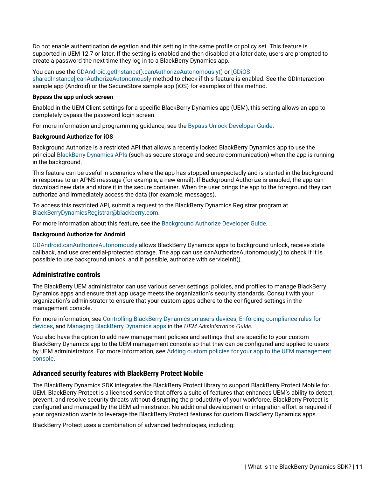Do not enable authentication delegation and this setting in the same profile or policy set. This feature is supported in UEM 12.7 or later. If the setting is enabled and then disabled at a later date, users are prompted to create a password the next time they log in to a BlackBerry Dynamics app.

You can use the [GDAndroid.getInstance\(\).canAuthorizeAutonomously\(\)](https://developer.blackberry.com/files/blackberry-dynamics/android/classcom_1_1good_1_1gd_1_1_g_d_android.html) or [\[GDiOS](https://developer.blackberry.com/files/blackberry-dynamics/ios/interface_g_di_o_s.html) [sharedInstance\].canAuthorizeAutonomously](https://developer.blackberry.com/files/blackberry-dynamics/ios/interface_g_di_o_s.html) method to check if this feature is enabled. See the GDInteraction sample app (Android) or the SecureStore sample app (iOS) for examples of this method.

#### **Bypass the app unlock screen**

Enabled in the UEM Client settings for a specific BlackBerry Dynamics app (UEM), this setting allows an app to completely bypass the password login screen.

For more information and programming guidance, see the [Bypass Unlock Developer Guide](https://developers.blackberry.com/content/dam/developer-blackberry-com/resource-assets/pdf/BypassUnlock.pdf).

#### **Background Authorize for iOS**

Background Authorize is a restricted API that allows a recently locked BlackBerry Dynamics app to use the principal [BlackBerry Dynamics APIs](https://developer.blackberry.com/files/blackberry-dynamics/ios/interface_g_di_o_s.html) (such as secure storage and secure communication) when the app is running in the background.

This feature can be useful in scenarios where the app has stopped unexpectedly and is started in the background in response to an APNS message (for example, a new email). If Background Authorize is enabled, the app can download new data and store it in the secure container. When the user brings the app to the foreground they can authorize and immediately access the data (for example, messages).

To access this restricted API, submit a request to the BlackBerry Dynamics Registrar program at [BlackBerryDynamicsRegistrar@blackberry.com.](mailto:BlackBerryDynamicsRegistrar@blackberry.com)

For more information about this feature, see the [Background Authorize Developer Guide.](https://developers.blackberry.com/content/dam/developer-blackberry-com/resource-assets/pdf/Background_Authorize_White_Paper.pdf)

#### **Background Authorize for Android**

[GDAndroid.canAuthorizeAutonomously](https://developer.blackberry.com/files/blackberry-dynamics/android/classcom_1_1good_1_1gd_1_1_g_d_android.html#aa7a9cb82899788984f06762797f3263c) allows BlackBerry Dynamics apps to background unlock, receive state callback, and use credential-protected storage. The app can use canAuthorizeAutonomously() to check if it is possible to use background unlock, and if possible, authorize with serviceInit().

### <span id="page-10-0"></span>**Administrative controls**

The BlackBerry UEM administrator can use various server settings, policies, and profiles to manage BlackBerry Dynamics apps and ensure that app usage meets the organization's security standards. Consult with your organization's administrator to ensure that your custom apps adhere to the configured settings in the management console.

For more information, see [Controlling BlackBerry Dynamics on users devices](https://docs.blackberry.com/en/endpoint-management/blackberry-uem/current/administration/blackberry-dynamics/aio1515009850720), [Enforcing compliance rules for](https://docs.blackberry.com/en/endpoint-management/blackberry-uem/current/administration/device-features-it-policies/enforcing-compliance-rules) [devices,](https://docs.blackberry.com/en/endpoint-management/blackberry-uem/current/administration/device-features-it-policies/enforcing-compliance-rules) and [Managing BlackBerry Dynamics apps](https://docs.blackberry.com/en/endpoint-management/blackberry-uem/current/administration/blackberry-dynamics) in the *UEM Administration Guide*.

You also have the option to add new management policies and settings that are specific to your custom BlackBerry Dynamics app to the UEM management console so that they can be configured and applied to users by UEM administrators. For more information, see [Adding custom policies for your app to the UEM management](#page-22-2) [console](#page-22-2).

### <span id="page-10-1"></span>**Advanced security features with BlackBerry Protect Mobile**

The BlackBerry Dynamics SDK integrates the BlackBerry Protect library to support BlackBerry Protect Mobile for UEM. BlackBerry Protect is a licensed service that offers a suite of features that enhances UEM's ability to detect, prevent, and resolve security threats without disrupting the productivity of your workforce. BlackBerry Protect is configured and managed by the UEM administrator. No additional development or integration effort is required if your organization wants to leverage the BlackBerry Protect features for custom BlackBerry Dynamics apps.

BlackBerry Protect uses a combination of advanced technologies, including: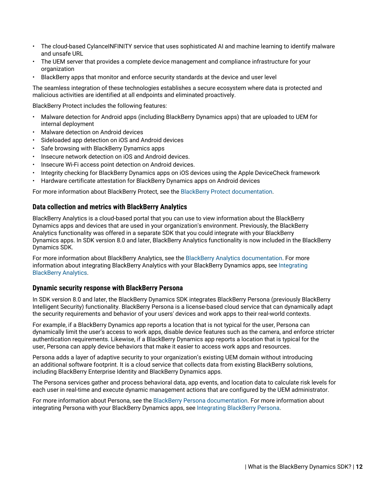- The cloud-based CylanceINFINITY service that uses sophisticated AI and machine learning to identify malware and unsafe URL
- The UEM server that provides a complete device management and compliance infrastructure for your organization
- BlackBerry apps that monitor and enforce security standards at the device and user level

The seamless integration of these technologies establishes a secure ecosystem where data is protected and malicious activities are identified at all endpoints and eliminated proactively.

BlackBerry Protect includes the following features:

- Malware detection for Android apps (including BlackBerry Dynamics apps) that are uploaded to UEM for internal deployment
- Malware detection on Android devices
- Sideloaded app detection on iOS and Android devices
- Safe browsing with BlackBerry Dynamics apps
- Insecure network detection on iOS and Android devices.
- Insecure Wi-Fi access point detection on Android devices.
- Integrity checking for BlackBerry Dynamics apps on iOS devices using the Apple DeviceCheck framework
- Hardware certificate attestation for BlackBerry Dynamics apps on Android devices

For more information about BlackBerry Protect, see the [BlackBerry Protect documentation](https://docs.blackberry.com/en/cylance-and-security/blackberry-protect-mobile-uem/).

### <span id="page-11-0"></span>**Data collection and metrics with BlackBerry Analytics**

BlackBerry Analytics is a cloud-based portal that you can use to view information about the BlackBerry Dynamics apps and devices that are used in your organization's environment. Previously, the BlackBerry Analytics functionality was offered in a separate SDK that you could integrate with your BlackBerry Dynamics apps. In SDK version 8.0 and later, BlackBerry Analytics functionality is now included in the BlackBerry Dynamics SDK.

For more information about BlackBerry Analytics, see the [BlackBerry Analytics documentation.](https://docs.blackberry.com/en/endpoint-management/blackberry-analytics/) For more information about integrating BlackBerry Analytics with your BlackBerry Dynamics apps, see [Integrating](#page-30-0) [BlackBerry Analytics](#page-30-0).

### <span id="page-11-1"></span>**Dynamic security response with BlackBerry Persona**

In SDK version 8.0 and later, the BlackBerry Dynamics SDK integrates BlackBerry Persona (previously BlackBerry Intelligent Security) functionality. BlackBerry Persona is a license-based cloud service that can dynamically adapt the security requirements and behavior of your users' devices and work apps to their real-world contexts.

For example, if a BlackBerry Dynamics app reports a location that is not typical for the user, Persona can dynamically limit the user's access to work apps, disable device features such as the camera, and enforce stricter authentication requirements. Likewise, if a BlackBerry Dynamics app reports a location that is typical for the user, Persona can apply device behaviors that make it easier to access work apps and resources.

Persona adds a layer of adaptive security to your organization's existing UEM domain without introducing an additional software footprint. It is a cloud service that collects data from existing BlackBerry solutions, including BlackBerry Enterprise Identity and BlackBerry Dynamics apps.

The Persona services gather and process behavioral data, app events, and location data to calculate risk levels for each user in real-time and execute dynamic management actions that are configured by the UEM administrator.

For more information about Persona, see the [BlackBerry Persona documentation.](https://docs.blackberry.com/en/cylance-and-security/blackberry-persona-uem/) For more information about integrating Persona with your BlackBerry Dynamics apps, see [Integrating BlackBerry Persona.](#page-33-0)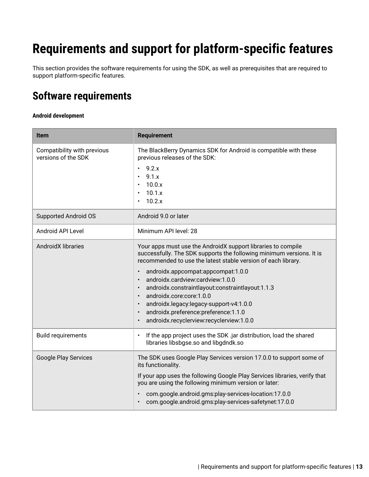# <span id="page-12-0"></span>**Requirements and support for platform-specific features**

This section provides the software requirements for using the SDK, as well as prerequisites that are required to support platform-specific features.

## <span id="page-12-1"></span>**Software requirements**

### **Android development**

| <b>Item</b>                                        | <b>Requirement</b>                                                                                                                                                                                                                                                                                                                                                                                                                                                                                                                                              |
|----------------------------------------------------|-----------------------------------------------------------------------------------------------------------------------------------------------------------------------------------------------------------------------------------------------------------------------------------------------------------------------------------------------------------------------------------------------------------------------------------------------------------------------------------------------------------------------------------------------------------------|
| Compatibility with previous<br>versions of the SDK | The BlackBerry Dynamics SDK for Android is compatible with these<br>previous releases of the SDK:<br>9.2.x<br>9.1.x<br>$\bullet$<br>10.0.x<br>$\bullet$<br>10.1.x<br>$\bullet$<br>10.2.x                                                                                                                                                                                                                                                                                                                                                                        |
| <b>Supported Android OS</b>                        | Android 9.0 or later                                                                                                                                                                                                                                                                                                                                                                                                                                                                                                                                            |
| Android API Level                                  | Minimum API level: 28                                                                                                                                                                                                                                                                                                                                                                                                                                                                                                                                           |
| Android X libraries                                | Your apps must use the AndroidX support libraries to compile<br>successfully. The SDK supports the following minimum versions. It is<br>recommended to use the latest stable version of each library.<br>androidx.appcompat:appcompat:1.0.0<br>$\bullet$<br>androidx.cardview:cardview:1.0.0<br>$\bullet$<br>androidx.constraintlayout:constraintlayout:1.1.3<br>androidx.core:core:1.0.0<br>$\bullet$<br>androidx.legacy:legacy-support-v4:1.0.0<br>$\bullet$<br>androidx.preference:preference:1.1.0<br>$\bullet$<br>androidx.recyclerview:recyclerview:1.0.0 |
| <b>Build requirements</b>                          | If the app project uses the SDK .jar distribution, load the shared<br>$\bullet$<br>libraries libsbgse.so and libgdndk.so                                                                                                                                                                                                                                                                                                                                                                                                                                        |
| <b>Google Play Services</b>                        | The SDK uses Google Play Services version 17.0.0 to support some of<br>its functionality.<br>If your app uses the following Google Play Services libraries, verify that<br>you are using the following minimum version or later:<br>com.google.android.gms:play-services-location:17.0.0<br>com.google.android.gms:play-services-safetynet:17.0.0                                                                                                                                                                                                               |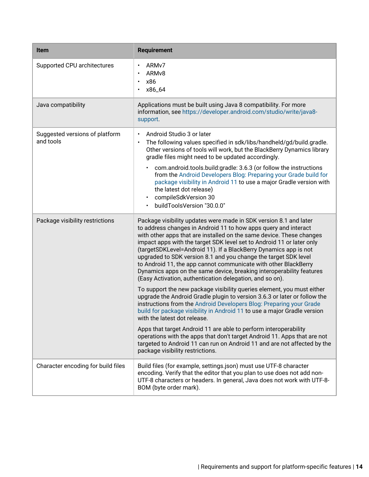| Item                                        | <b>Requirement</b>                                                                                                                                                                                                                                                                                                                                                                                                                                                                                                                                                                                                                  |
|---------------------------------------------|-------------------------------------------------------------------------------------------------------------------------------------------------------------------------------------------------------------------------------------------------------------------------------------------------------------------------------------------------------------------------------------------------------------------------------------------------------------------------------------------------------------------------------------------------------------------------------------------------------------------------------------|
| Supported CPU architectures                 | ARMv7<br>ARMv8<br>x86<br>$\bullet$<br>x86_64                                                                                                                                                                                                                                                                                                                                                                                                                                                                                                                                                                                        |
| Java compatibility                          | Applications must be built using Java 8 compatibility. For more<br>information, see https://developer.android.com/studio/write/java8-<br>support.                                                                                                                                                                                                                                                                                                                                                                                                                                                                                   |
| Suggested versions of platform<br>and tools | Android Studio 3 or later<br>$\bullet$<br>The following values specified in sdk/libs/handheld/gd/build.gradle.<br>$\bullet$<br>Other versions of tools will work, but the BlackBerry Dynamics library<br>gradle files might need to be updated accordingly.<br>com.android.tools.build:gradle: 3.6.3 (or follow the instructions<br>from the Android Developers Blog: Preparing your Grade build for                                                                                                                                                                                                                                |
|                                             | package visibility in Android 11 to use a major Gradle version with<br>the latest dot release)<br>compileSdkVersion 30<br>buildToolsVersion "30.0.0"                                                                                                                                                                                                                                                                                                                                                                                                                                                                                |
| Package visibility restrictions             | Package visibility updates were made in SDK version 8.1 and later<br>to address changes in Android 11 to how apps query and interact<br>with other apps that are installed on the same device. These changes<br>impact apps with the target SDK level set to Android 11 or later only<br>(targetSDKLevel=Android 11). If a BlackBerry Dynamics app is not<br>upgraded to SDK version 8.1 and you change the target SDK level<br>to Android 11, the app cannot communicate with other BlackBerry<br>Dynamics apps on the same device, breaking interoperability features<br>(Easy Activation, authentication delegation, and so on). |
|                                             | To support the new package visibility queries element, you must either<br>upgrade the Android Gradle plugin to version 3.6.3 or later or follow the<br>instructions from the Android Developers Blog: Preparing your Grade<br>build for package visibility in Android 11 to use a major Gradle version<br>with the latest dot release.                                                                                                                                                                                                                                                                                              |
|                                             | Apps that target Android 11 are able to perform interoperability<br>operations with the apps that don't target Android 11. Apps that are not<br>targeted to Android 11 can run on Android 11 and are not affected by the<br>package visibility restrictions.                                                                                                                                                                                                                                                                                                                                                                        |
| Character encoding for build files          | Build files (for example, settings.json) must use UTF-8 character<br>encoding. Verify that the editor that you plan to use does not add non-<br>UTF-8 characters or headers. In general, Java does not work with UTF-8-<br>BOM (byte order mark).                                                                                                                                                                                                                                                                                                                                                                                   |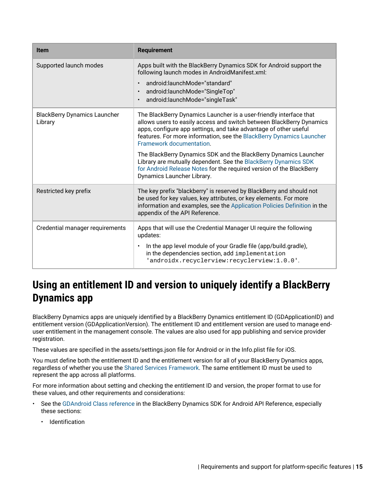| <b>Item</b>                                    | <b>Requirement</b>                                                                                                                                                                                                                                                                                                 |
|------------------------------------------------|--------------------------------------------------------------------------------------------------------------------------------------------------------------------------------------------------------------------------------------------------------------------------------------------------------------------|
| Supported launch modes                         | Apps built with the BlackBerry Dynamics SDK for Android support the<br>following launch modes in AndroidManifest.xml:                                                                                                                                                                                              |
|                                                | android:launchMode="standard"<br>android:launchMode="SingleTop"<br>$\bullet$<br>android:launchMode="singleTask"                                                                                                                                                                                                    |
| <b>BlackBerry Dynamics Launcher</b><br>Library | The BlackBerry Dynamics Launcher is a user-friendly interface that<br>allows users to easily access and switch between BlackBerry Dynamics<br>apps, configure app settings, and take advantage of other useful<br>features. For more information, see the BlackBerry Dynamics Launcher<br>Framework documentation. |
|                                                | The BlackBerry Dynamics SDK and the BlackBerry Dynamics Launcher<br>Library are mutually dependent. See the BlackBerry Dynamics SDK<br>for Android Release Notes for the required version of the BlackBerry<br>Dynamics Launcher Library.                                                                          |
| Restricted key prefix                          | The key prefix "blackberry" is reserved by BlackBerry and should not<br>be used for key values, key attributes, or key elements. For more<br>information and examples, see the Application Policies Definition in the<br>appendix of the API Reference.                                                            |
| Credential manager requirements                | Apps that will use the Credential Manager UI require the following<br>updates:                                                                                                                                                                                                                                     |
|                                                | In the app level module of your Gradle file (app/build.gradle),<br>$\bullet$<br>in the dependencies section, add implementation<br>'androidx.recyclerview:recyclerview:1.0.0'.                                                                                                                                     |

# <span id="page-14-0"></span>**Using an entitlement ID and version to uniquely identify a BlackBerry Dynamics app**

BlackBerry Dynamics apps are uniquely identified by a BlackBerry Dynamics entitlement ID (GDApplicationID) and entitlement version (GDApplicationVersion). The entitlement ID and entitlement version are used to manage enduser entitlement in the management console. The values are also used for app publishing and service provider registration.

These values are specified in the assets/settings.json file for Android or in the Info.plist file for iOS.

You must define both the entitlement ID and the entitlement version for all of your BlackBerry Dynamics apps, regardless of whether you use the [Shared Services Framework](#page-7-2). The same entitlement ID must be used to represent the app across all platforms.

For more information about setting and checking the entitlement ID and version, the proper format to use for these values, and other requirements and considerations:

- See the [GDAndroid Class reference](https://developer.blackberry.com/files/blackberry-dynamics/android/classcom_1_1good_1_1gd_1_1_g_d_android.html) in the BlackBerry Dynamics SDK for Android API Reference, especially these sections:
	- Identification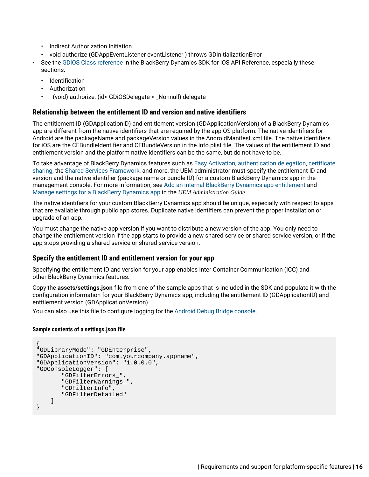- Indirect Authorization Initiation
- void authorize (GDAppEventListener eventListener ) throws GDInitializationError
- See the [GDiOS Class reference](https://developer.blackberry.com/files/blackberry-dynamics/ios/interface_g_di_o_s.html) in the BlackBerry Dynamics SDK for iOS API Reference, especially these sections:
	- Identification
	- Authorization
	- - (void) authorize: (id< GDiOSDelegate > \_Nonnull) delegate

### <span id="page-15-0"></span>**Relationship between the entitlement ID and version and native identifiers**

The entitlement ID (GDApplicationID) and entitlement version (GDApplicationVersion) of a BlackBerry Dynamics app are different from the native identifiers that are required by the app OS platform. The native identifiers for Android are the packageName and packageVersion values in the AndroidManifest.xml file. The native identifiers for iOS are the CFBundleIdentifier and CFBundleVersion in the Info.plist file. The values of the entitlement ID and entitlement version and the platform native identifiers can be the same, but do not have to be.

To take advantage of BlackBerry Dynamics features such as [Easy Activation](#page-5-3), [authentication delegation,](#page-9-0) [certificate](#page-53-0) [sharing](#page-53-0), the [Shared Services Framework,](#page-7-2) and more, the UEM administrator must specify the entitlement ID and version and the native identifier (package name or bundle ID) for a custom BlackBerry Dynamics app in the management console. For more information, see [Add an internal BlackBerry Dynamics app entitlement](https://docs.blackberry.com/en/endpoint-management/blackberry-uem/current/administration/blackberry-dynamics/Adding-Dynamics-apps/zjx1471960344735) and [Manage settings for a BlackBerry Dynamics app](https://docs.blackberry.com/en/endpoint-management/blackberry-uem/current/administration/blackberry-dynamics/vvq1471962941016) in the *UEM Administration Guide*.

The native identifiers for your custom BlackBerry Dynamics app should be unique, especially with respect to apps that are available through public app stores. Duplicate native identifiers can prevent the proper installation or upgrade of an app.

You must change the native app version if you want to distribute a new version of the app. You only need to change the entitlement version if the app starts to provide a new shared service or shared service version, or if the app stops providing a shared service or shared service version.

### <span id="page-15-1"></span>**Specify the entitlement ID and entitlement version for your app**

Specifying the entitlement ID and version for your app enables Inter Container Communication (ICC) and other BlackBerry Dynamics features.

Copy the **assets/settings.json** file from one of the sample apps that is included in the SDK and populate it with the configuration information for your BlackBerry Dynamics app, including the entitlement ID (GDApplicationID) and entitlement version (GDApplicationVersion).

You can also use this file to configure logging for the [Android Debug Bridge console](#page-49-0).

#### **Sample contents of a settings.json file**

```
{
"GDLibraryMode": "GDEnterprise",
"GDApplicationID": "com.yourcompany.appname",
"GDApplicationVersion": "1.0.0.0",
"GDConsoleLogger": [
        "GDFilterErrors_",
        "GDFilterWarnings_",
        "GDFilterInfo",
        "GDFilterDetailed"
    \mathbf{I}}
```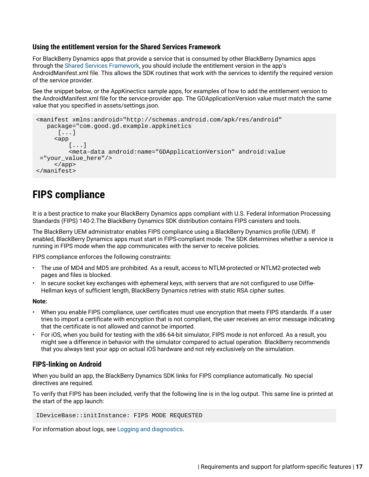### <span id="page-16-0"></span>**Using the entitlement version for the Shared Services Framework**

For BlackBerry Dynamics apps that provide a service that is consumed by other BlackBerry Dynamics apps through the [Shared Services Framework](#page-7-2), you should include the entitlement version in the app's AndroidManifest.xml file. This allows the SDK routines that work with the services to identify the required version of the service provider.

See the snippet below, or the AppKinectics sample apps, for examples of how to add the entitlement version to the AndroidManifest.xml file for the service-provider app. The GDApplicationVersion value must match the same value that you specified in assets/settings.json.

```
<manifest xmlns:android="http://schemas.android.com/apk/res/android"
    package="com.good.gd.example.appkinetics
       [...]
      <app
          [...]
          <meta-data android:name="GDApplicationVersion" android:value
  ="your_value_here"/>
      </app>
</manifest>
```
# <span id="page-16-1"></span>**FIPS compliance**

It is a best practice to make your BlackBerry Dynamics apps compliant with U.S. Federal Information Processing Standards (FIPS) 140-2.The BlackBerry Dynamics SDK distribution contains FIPS canisters and tools.

The BlackBerry UEM administrator enables FIPS compliance using a BlackBerry Dynamics profile (UEM). If enabled, BlackBerry Dynamics apps must start in FIPS-compliant mode. The SDK determines whether a service is running in FIPS mode when the app communicates with the server to receive policies.

FIPS compliance enforces the following constraints:

- The use of MD4 and MD5 are prohibited. As a result, access to NTLM-protected or NTLM2-protected web pages and files is blocked.
- In secure socket key exchanges with ephemeral keys, with servers that are not configured to use Diffie-Hellman keys of sufficient length, BlackBerry Dynamics retries with static RSA cipher suites.

### **Note:**

- When you enable FIPS compliance, user certificates must use encryption that meets FIPS standards. If a user tries to import a certificate with encryption that is not compliant, the user receives an error message indicating that the certificate is not allowed and cannot be imported.
- For iOS, when you build for testing with the x86 64-bit simulator, FIPS mode is not enforced. As a result, you might see a difference in behavior with the simulator compared to actual operation. BlackBerry recommends that you always test your app on actual iOS hardware and not rely exclusively on the simulation.

### <span id="page-16-2"></span>**FIPS-linking on Android**

When you build an app, the BlackBerry Dynamics SDK links for FIPS compliance automatically. No special directives are required.

To verify that FIPS has been included, verify that the following line is in the log output. This same line is printed at the start of the app launch:

```
IDeviceBase::initInstance: FIPS MODE REQUESTED
```
For information about logs, see [Logging and diagnostics](#page-48-2).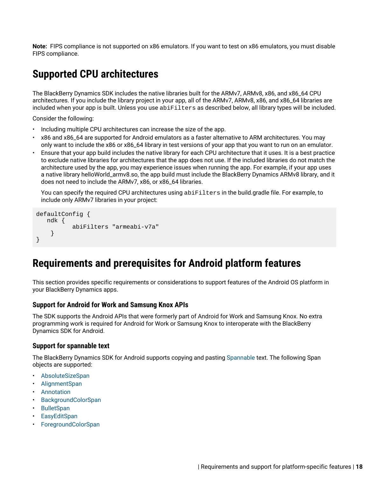**Note:** FIPS compliance is not supported on x86 emulators. If you want to test on x86 emulators, you must disable FIPS compliance.

# <span id="page-17-0"></span>**Supported CPU architectures**

The BlackBerry Dynamics SDK includes the native libraries built for the ARMv7, ARMv8, x86, and x86\_64 CPU architectures. If you include the library project in your app, all of the ARMv7, ARMv8, x86, and x86\_64 libraries are included when your app is built. Unless you use abiFilters as described below, all library types will be included.

Consider the following:

- Including multiple CPU architectures can increase the size of the app.
- x86 and x86\_64 are supported for Android emulators as a faster alternative to ARM architectures. You may only want to include the x86 or x86\_64 library in test versions of your app that you want to run on an emulator.
- Ensure that your app build includes the native library for each CPU architecture that it uses. It is a best practice to exclude native libraries for architectures that the app does not use. If the included libraries do not match the architecture used by the app, you may experience issues when running the app. For example, if your app uses a native library helloWorld\_armv8.so, the app build must include the BlackBerry Dynamics ARMv8 library, and it does not need to include the ARMv7, x86, or x86\_64 libraries.

You can specify the required CPU architectures using abiFilters in the build.gradle file. For example, to include only ARMv7 libraries in your project:

```
defaultConfig {
    ndk {
            abiFilters "armeabi-v7a"
      }
}
```
# <span id="page-17-1"></span>**Requirements and prerequisites for Android platform features**

This section provides specific requirements or considerations to support features of the Android OS platform in your BlackBerry Dynamics apps.

### <span id="page-17-2"></span>**Support for Android for Work and Samsung Knox APIs**

The SDK supports the Android APIs that were formerly part of Android for Work and Samsung Knox. No extra programming work is required for Android for Work or Samsung Knox to interoperate with the BlackBerry Dynamics SDK for Android.

### <span id="page-17-3"></span>**Support for spannable text**

The BlackBerry Dynamics SDK for Android supports copying and pasting [Spannable](https://developer.android.com/reference/android/text/Spannable.html) text. The following Span objects are supported:

- [AbsoluteSizeSpan](https://developer.android.com/reference/android/text/style/AbsoluteSizeSpan.html)
- [AlignmentSpan](https://developer.android.com/reference/android/text/style/AlignmentSpan.Standard.html)
- **[Annotation](https://developer.android.com/reference/java/lang/annotation/Annotation.html)**
- [BackgroundColorSpan](https://developer.android.com/reference/android/text/style/BackgroundColorSpan.html)
- [BulletSpan](https://developer.android.com/reference/android/text/style/BulletSpan.html)
- **[EasyEditSpan](https://developer.android.com/reference/android/text/style/EasyEditSpan.html)**
- [ForegroundColorSpan](https://developer.android.com/reference/android/text/style/ForegroundColorSpan.html)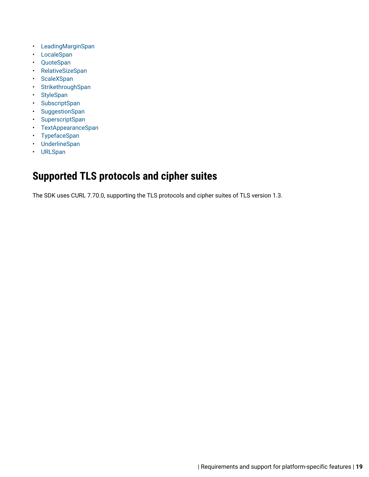- [LeadingMarginSpan](https://developer.android.com/reference/android/text/style/LeadingMarginSpan.Standard.html)
- [LocaleSpan](https://developer.android.com/reference/android/text/style/LocaleSpan.html)
- [QuoteSpan](https://developer.android.com/reference/android/text/style/QuoteSpan.html)
- [RelativeSizeSpan](https://developer.android.com/reference/android/text/style/RelativeSizeSpan.html)
- [ScaleXSpan](https://developer.android.com/reference/android/text/style/ScaleXSpan.html)
- [StrikethroughSpan](https://developer.android.com/reference/android/text/style/StrikethroughSpan.html)
- [StyleSpan](https://developer.android.com/reference/android/text/style/StyleSpan.html)
- [SubscriptSpan](https://developer.android.com/reference/android/text/style/SubscriptSpan.html)
- [SuggestionSpan](https://developer.android.com/reference/android/text/style/SuggestionSpan.html)
- [SuperscriptSpan](https://developer.android.com/reference/android/text/style/SuperscriptSpan.html)
- [TextAppearanceSpan](https://developer.android.com/reference/android/text/style/TextAppearanceSpan.html)
- [TypefaceSpan](https://developer.android.com/reference/android/text/style/TypefaceSpan.html)
- [UnderlineSpan](https://developer.android.com/reference/android/text/style/UnderlineSpan.html)
- [URLSpan](https://developer.android.com/reference/android/text/style/URLSpan.html)

# <span id="page-18-0"></span>**Supported TLS protocols and cipher suites**

The SDK uses CURL 7.70.0, supporting the TLS protocols and cipher suites of TLS version 1.3.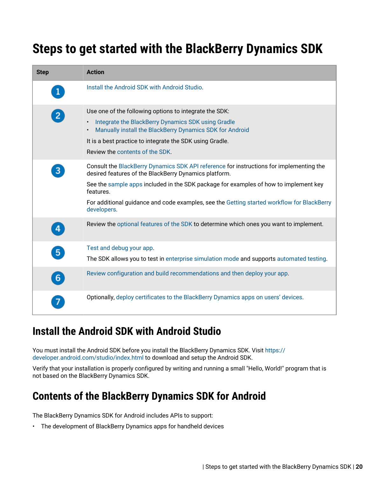# <span id="page-19-0"></span>**Steps to get started with the BlackBerry Dynamics SDK**

| <b>Step</b>    | <b>Action</b>                                                                                                                                                                                                                                                                                                                                                      |
|----------------|--------------------------------------------------------------------------------------------------------------------------------------------------------------------------------------------------------------------------------------------------------------------------------------------------------------------------------------------------------------------|
|                | Install the Android SDK with Android Studio.                                                                                                                                                                                                                                                                                                                       |
| $\mathbf{2}$   | Use one of the following options to integrate the SDK:<br>Integrate the BlackBerry Dynamics SDK using Gradle<br>$\bullet$<br>Manually install the BlackBerry Dynamics SDK for Android<br>$\bullet$<br>It is a best practice to integrate the SDK using Gradle.<br>Review the contents of the SDK.                                                                  |
| 3              | Consult the BlackBerry Dynamics SDK API reference for instructions for implementing the<br>desired features of the BlackBerry Dynamics platform.<br>See the sample apps included in the SDK package for examples of how to implement key<br>features.<br>For additional guidance and code examples, see the Getting started workflow for BlackBerry<br>developers. |
| 4              | Review the optional features of the SDK to determine which ones you want to implement.                                                                                                                                                                                                                                                                             |
| 5 <sup>1</sup> | Test and debug your app.<br>The SDK allows you to test in enterprise simulation mode and supports automated testing.                                                                                                                                                                                                                                               |
| $\boxed{6}$    | Review configuration and build recommendations and then deploy your app.                                                                                                                                                                                                                                                                                           |
|                | Optionally, deploy certificates to the BlackBerry Dynamics apps on users' devices.                                                                                                                                                                                                                                                                                 |

# <span id="page-19-1"></span>**Install the Android SDK with Android Studio**

You must install the Android SDK before you install the BlackBerry Dynamics SDK. Visit [https://](https://developer.android.com/studio/index.html) [developer.android.com/studio/index.html](https://developer.android.com/studio/index.html) to download and setup the Android SDK.

Verify that your installation is properly configured by writing and running a small "Hello, World!" program that is not based on the BlackBerry Dynamics SDK.

# <span id="page-19-2"></span>**Contents of the BlackBerry Dynamics SDK for Android**

The BlackBerry Dynamics SDK for Android includes APIs to support:

• The development of BlackBerry Dynamics apps for handheld devices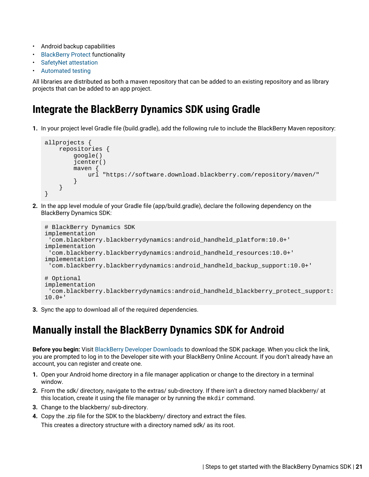- Android backup capabilities
- [BlackBerry Protect](#page-10-1) functionality
- [SafetyNet attestation](#page-35-0)
- [Automated testing](#page-41-1)

All libraries are distributed as both a maven repository that can be added to an existing repository and as library projects that can be added to an app project.

### <span id="page-20-0"></span>**Integrate the BlackBerry Dynamics SDK using Gradle**

**1.** In your project level Gradle file (build.gradle), add the following rule to include the BlackBerry Maven repository:

```
allprojects {
     repositories {
         google()
         jcenter()
         maven {
             url "https://software.download.blackberry.com/repository/maven/"
 }
     }
}
```
**2.** In the app level module of your Gradle file (app/build.gradle), declare the following dependency on the BlackBerry Dynamics SDK:

```
# BlackBerry Dynamics SDK
implementation
  'com.blackberry.blackberrydynamics:android_handheld_platform:10.0+' 
implementation
  'com.blackberry.blackberrydynamics:android_handheld_resources:10.0+'
implementation
  'com.blackberry.blackberrydynamics:android_handheld_backup_support:10.0+'
# Optional
implementation
  'com.blackberry.blackberrydynamics:android_handheld_blackberry_protect_support:
10.0+'
```
**3.** Sync the app to download all of the required dependencies.

# <span id="page-20-1"></span>**Manually install the BlackBerry Dynamics SDK for Android**

**Before you begin:** Visit [BlackBerry Developer Downloads](https://developers.blackberry.com/us/en/resources/downloads.html) to download the SDK package. When you click the link, you are prompted to log in to the Developer site with your BlackBerry Online Account. If you don't already have an account, you can register and create one.

- **1.** Open your Android home directory in a file manager application or change to the directory in a terminal window.
- **2.** From the sdk/ directory, navigate to the extras/ sub-directory. If there isn't a directory named blackberry/ at this location, create it using the file manager or by running the  $m$ kdir command.
- **3.** Change to the blackberry/ sub-directory.
- **4.** Copy the .zip file for the SDK to the blackberry/ directory and extract the files. This creates a directory structure with a directory named sdk/ as its root.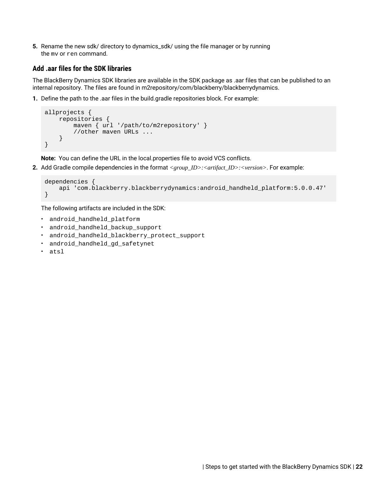**5.** Rename the new sdk/ directory to dynamics\_sdk/ using the file manager or by running the my or ren command.

### <span id="page-21-0"></span>**Add .aar files for the SDK libraries**

The BlackBerry Dynamics SDK libraries are available in the SDK package as .aar files that can be published to an internal repository. The files are found in m2repository/com/blackberry/blackberrydynamics.

**1.** Define the path to the .aar files in the build.gradle repositories block. For example:

```
allprojects {
    repositories {
         maven { url '/path/to/m2repository' }
         //other maven URLs ...
     }
}
```
**Note:** You can define the URL in the local.properties file to avoid VCS conflicts.

**2.** Add Gradle compile dependencies in the format *<group\_ID>:<artifact\_ID>:<version>*. For example:

```
dependencies {
     api 'com.blackberry.blackberrydynamics:android_handheld_platform:5.0.0.47'
}
```
The following artifacts are included in the SDK:

- android\_handheld\_platform
- android\_handheld\_backup\_support
- android\_handheld\_blackberry\_protect\_support
- android\_handheld\_gd\_safetynet
- atsl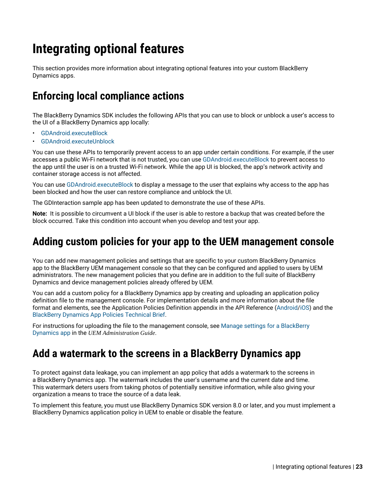# <span id="page-22-0"></span>**Integrating optional features**

This section provides more information about integrating optional features into your custom BlackBerry Dynamics apps.

# <span id="page-22-1"></span>**Enforcing local compliance actions**

The BlackBerry Dynamics SDK includes the following APIs that you can use to block or unblock a user's access to the UI of a BlackBerry Dynamics app locally:

- [GDAndroid.executeBlock](https://developer.blackberry.com/files/blackberry-dynamics/android/classcom_1_1good_1_1gd_1_1_g_d_android.html#aea4fbf58207da00595ae8bcb53e500b0)
- [GDAndroid.executeUnblock](https://developer.blackberry.com/files/blackberry-dynamics/android/classcom_1_1good_1_1gd_1_1_g_d_android.html#aa592c1763e68dfdaed62bce89e4468ce)

You can use these APIs to temporarily prevent access to an app under certain conditions. For example, if the user accesses a public Wi-Fi network that is not trusted, you can use [GDAndroid.executeBlock](https://developer.blackberry.com/files/blackberry-dynamics/android/classcom_1_1good_1_1gd_1_1_g_d_android.html#aea4fbf58207da00595ae8bcb53e500b0) to prevent access to the app until the user is on a trusted Wi-Fi network. While the app UI is blocked, the app's network activity and container storage access is not affected.

You can use [GDAndroid.executeBlock](https://developer.blackberry.com/files/blackberry-dynamics/android/classcom_1_1good_1_1gd_1_1_g_d_android.html#aea4fbf58207da00595ae8bcb53e500b0) to display a message to the user that explains why access to the app has been blocked and how the user can restore compliance and unblock the UI.

The GDInteraction sample app has been updated to demonstrate the use of these APIs.

**Note:** It is possible to circumvent a UI block if the user is able to restore a backup that was created before the block occurred. Take this condition into account when you develop and test your app.

### <span id="page-22-2"></span>**Adding custom policies for your app to the UEM management console**

You can add new management policies and settings that are specific to your custom BlackBerry Dynamics app to the BlackBerry UEM management console so that they can be configured and applied to users by UEM administrators. The new management policies that you define are in addition to the full suite of BlackBerry Dynamics and device management policies already offered by UEM.

You can add a custom policy for a BlackBerry Dynamics app by creating and uploading an application policy definition file to the management console. For implementation details and more information about the file format and elements, see the Application Policies Definition appendix in the API Reference [\(Android](https://developer.blackberry.com/files/blackberry-dynamics/android/_app_policies.html)[/iOS](https://developer.blackberry.com/files/blackberry-dynamics/ios/_app_policies.html)) and the [BlackBerry Dynamics App Policies Technical Brief.](https://docs.blackberry.com/content/dam/docs-blackberry-com/release-pdfs/en/blackberry-dynamics/application-policies.pdf)

For instructions for uploading the file to the management console, see [Manage settings for a BlackBerry](https://docs.blackberry.com/en/endpoint-management/blackberry-uem/current/administration/blackberry-dynamics/vvq1471962941016) [Dynamics app](https://docs.blackberry.com/en/endpoint-management/blackberry-uem/current/administration/blackberry-dynamics/vvq1471962941016) in the *UEM Administration Guide*.

### <span id="page-22-3"></span>**Add a watermark to the screens in a BlackBerry Dynamics app**

To protect against data leakage, you can implement an app policy that adds a watermark to the screens in a BlackBerry Dynamics app. The watermark includes the user's username and the current date and time. This watermark deters users from taking photos of potentially sensitive information, while also giving your organization a means to trace the source of a data leak.

To implement this feature, you must use BlackBerry Dynamics SDK version 8.0 or later, and you must implement a BlackBerry Dynamics application policy in UEM to enable or disable the feature.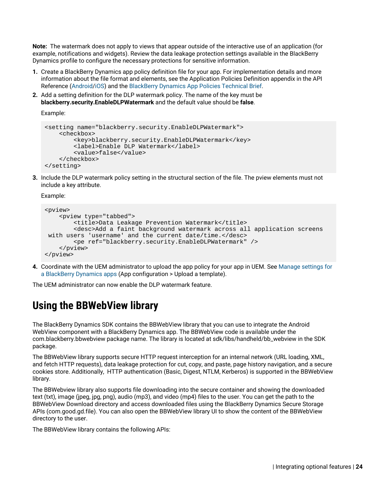**Note:** The watermark does not apply to views that appear outside of the interactive use of an application (for example, notifications and widgets). Review the data leakage protection settings available in the BlackBerry Dynamics profile to configure the necessary protections for sensitive information.

- **1.** Create a BlackBerry Dynamics app policy definition file for your app. For implementation details and more information about the file format and elements, see the Application Policies Definition appendix in the API Reference ([Android/](https://developer.blackberry.com/files/blackberry-dynamics/android/_app_policies.html)[iOS](https://developer.blackberry.com/files/blackberry-dynamics/ios/_app_policies.html)) and the [BlackBerry Dynamics App Policies Technical Brief.](https://docs.blackberry.com/content/dam/docs-blackberry-com/release-pdfs/en/blackberry-dynamics/application-policies.pdf)
- **2.** Add a setting definition for the DLP watermark policy. The name of the key must be **blackberry.security.EnableDLPWatermark** and the default value should be **false**.

Example:

```
<setting name="blackberry.security.EnableDLPWatermark">
     <checkbox>
         <key>blackberry.security.EnableDLPWatermark</key>
         <label>Enable DLP Watermark</label>
         <value>false</value>
     </checkbox>
</setting>
```
**3.** Include the DLP watermark policy setting in the structural section of the file. The pview elements must not include a key attribute.

Example:

```
<pview>
     <pview type="tabbed">
         <title>Data Leakage Prevention Watermark</title>
         <desc>Add a faint background watermark across all application screens
 with users 'username' and the current date/time.</desc>
        <pe ref="blackberry.security.EnableDLPWatermark" />
     </pview>
</pview>
```
**4.** Coordinate with the UEM administrator to upload the app policy for your app in UEM. See [Manage settings for](https://docs.blackberry.com/en/endpoint-management/blackberry-uem/current/administration/blackberry-dynamics/vvq1471962941016) [a BlackBerry Dynamics apps](https://docs.blackberry.com/en/endpoint-management/blackberry-uem/current/administration/blackberry-dynamics/vvq1471962941016) (App configuration > Upload a template).

The UEM administrator can now enable the DLP watermark feature.

### <span id="page-23-0"></span>**Using the BBWebView library**

The BlackBerry Dynamics SDK contains the BBWebView library that you can use to integrate the Android WebView component with a BlackBerry Dynamics app. The BBWebView code is available under the com.blackberry.bbwebview package name. The library is located at sdk/libs/handheld/bb\_webview in the SDK package.

The BBWebView library supports secure HTTP request interception for an internal network (URL loading, XML, and fetch HTTP requests), data leakage protection for cut, copy, and paste, page history navigation, and a secure cookies store. Additionally, HTTP authentication (Basic, Digest, NTLM, Kerberos) is supported in the BBWebView library.

The BBWebview library also supports file downloading into the secure container and showing the downloaded text (txt), image (jpeg, jpg, png), audio (mp3), and video (mp4) files to the user. You can get the path to the BBWebView Download directory and access downloaded files using the BlackBerry Dynamics Secure Storage APIs (com.good.gd.file). You can also open the BBWebView library UI to show the content of the BBWebView directory to the user.

The BBWebView library contains the following APIs: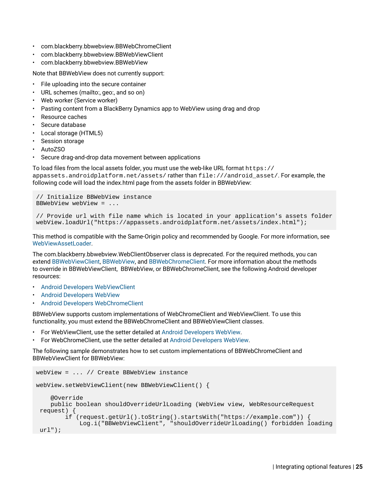- com.blackberry.bbwebview.BBWebChromeClient
- com.blackberry.bbwebview.BBWebViewClient
- com.blackberry.bbwebview.BBWebView

Note that BBWebView does not currently support:

- File uploading into the secure container
- URL schemes (mailto:, geo:, and so on)
- Web worker (Service worker)
- Pasting content from a BlackBerry Dynamics app to WebView using drag and drop
- Resource caches
- Secure database
- Local storage (HTML5)
- Session storage
- AutoZSO
- Secure drag-and-drop data movement between applications

To load files from the local assets folder, you must use the web-like URL format  $h_{\text{t}}$ t $\approx$  : // appassets.androidplatform.net/assets/ rather than file:///android\_asset/. For example, the following code will load the index.html page from the assets folder in BBWebView:

```
// Initialize BBWebView instance
BBWebView webView = ... 
// Provide url with file name which is located in your application's assets folder
webView.loadUrl("https://appassets.androidplatform.net/assets/index.html");
```
This method is compatible with the Same-Origin policy and recommended by Google. For more information, see [WebViewAssetLoader.](https://developer.android.com/reference/androidx/webkit/WebViewAssetLoader)

The com.blackberry.bbwebview.WebClientObserver class is deprecated. For the required methods, you can extend [BBWebViewClient,](https://developer.blackberry.com/files/blackberry-dynamics/android/classcom_1_1blackberry_1_1bbwebview_1_1_b_b_web_view_client.html) [BBWebView,](https://developer.blackberry.com/files/blackberry-dynamics/android/classcom_1_1blackberry_1_1bbwebview_1_1_b_b_web_view.html) and [BBWebChromeClient](https://developer.blackberry.com/files/blackberry-dynamics/android/classcom_1_1blackberry_1_1bbwebview_1_1_b_b_web_chrome_client.html). For more information about the methods to override in BBWebViewClient, BBWebView, or BBWebChromeClient, see the following Android developer resources:

- [Android Developers WebViewClient](https://developer.android.com/reference/android/webkit/WebViewClient)
- [Android Developers WebView](https://developer.android.com/reference/android/webkit/WebView)
- [Android Developers WebChromeClient](https://developer.android.com/reference/android/webkit/WebChromeClient)

BBWebView supports custom implementations of WebChromeClient and WebViewClient. To use this functionality, you must extend the BBWebChromeClient and BBWebViewClient classes.

- For WebViewClient, use the setter detailed at [Android Developers WebView](https://developer.android.com/reference/android/webkit/WebView#setWebViewClient(android.webkit.WebViewClient)).
- For WebChromeClient, use the setter detailed at [Android Developers WebView.](https://developer.android.com/reference/android/webkit/WebView#setWebChromeClient(android.webkit.WebChromeClient))

The following sample demonstrates how to set custom implementations of BBWebChromeClient and BBWebViewClient for BBWebView:

```
webView = ... // Create BBWebView instance
webView.setWebViewClient(new BBWebViewClient() {
     @Override
    public boolean shouldOverrideUrlLoading (WebView view, WebResourceRequest
  request) {
         if (request.getUrl().toString().startsWith("https://example.com")) {
             Log.i("BBWebViewClient", "shouldOverrideUrlLoading() forbidden loading
  url");
```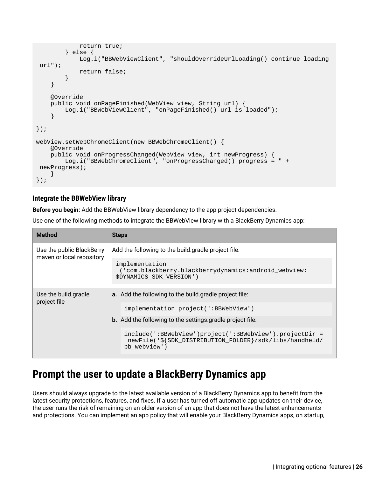```
 return true;
         } else {
             Log.i("BBWebViewClient", "shouldOverrideUrlLoading() continue loading
  url");
             return false;
         }
     }
     @Override
     public void onPageFinished(WebView view, String url) {
         Log.i("BBWebViewClient", "onPageFinished() url is loaded");
     }
});
webView.setWebChromeClient(new BBWebChromeClient() {
     @Override
     public void onProgressChanged(WebView view, int newProgress) {
         Log.i("BBWebChromeClient", "onProgressChanged() progress = " +
 newProgress);
     }
});
```
### <span id="page-25-0"></span>**Integrate the BBWebView library**

**Before you begin:** Add the BBWebView library dependency to the app project dependencies.

| <b>Method</b>                                          | <b>Steps</b>                                                                                                                       |
|--------------------------------------------------------|------------------------------------------------------------------------------------------------------------------------------------|
| Use the public BlackBerry<br>maven or local repository | Add the following to the build gradle project file:                                                                                |
|                                                        | implementation<br>('com.blackberry.blackberrydynamics:android webview:<br>\$DYNAMICS_SDK_VERSION')                                 |
| Use the build gradle<br>project file                   | <b>a.</b> Add the following to the build gradle project file:                                                                      |
|                                                        | implementation project(':BBWebView')                                                                                               |
|                                                        | <b>b.</b> Add the following to the settings gradle project file:                                                                   |
|                                                        | include(':BBWebView')project(':BBWebView').projectDir =<br>newFile('\${SDK_DISTRIBUTION_FOLDER}/sdk/libs/handheld/<br>bb webview') |

Use one of the following methods to integrate the BBWebView library with a BlackBerry Dynamics app:

### <span id="page-25-1"></span>**Prompt the user to update a BlackBerry Dynamics app**

Users should always upgrade to the latest available version of a BlackBerry Dynamics app to benefit from the latest security protections, features, and fixes. If a user has turned off automatic app updates on their device, the user runs the risk of remaining on an older version of an app that does not have the latest enhancements and protections. You can implement an app policy that will enable your BlackBerry Dynamics apps, on startup,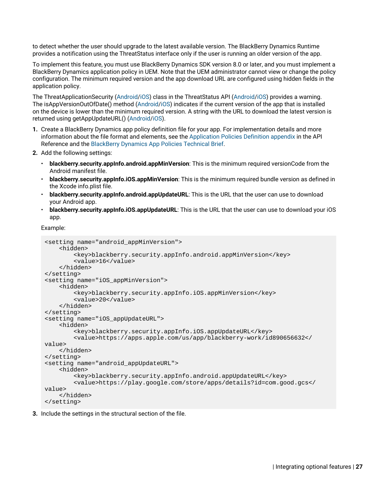to detect whether the user should upgrade to the latest available version. The BlackBerry Dynamics Runtime provides a notification using the ThreatStatus interface only if the user is running an older version of the app.

To implement this feature, you must use BlackBerry Dynamics SDK version 8.0 or later, and you must implement a BlackBerry Dynamics application policy in UEM. Note that the UEM administrator cannot view or change the policy configuration. The minimum required version and the app download URL are configured using hidden fields in the application policy.

The ThreatApplicationSecurity ([Android/](https://developer.blackberry.com/files/blackberry-dynamics/android/classcom_1_1blackberry_1_1security_1_1threat_1_1_threat_application_security.html)[iOS\)](https://developer.blackberry.com/files/blackberry-dynamics/ios/interface_b_b_d_threat_application_security.html) class in the ThreatStatus API ([Android/](https://developer.blackberry.com/files/blackberry-dynamics/android/classcom_1_1blackberry_1_1security_1_1threat_1_1_threat.html)[iOS](https://developer.blackberry.com/files/blackberry-dynamics/ios/interface_b_b_d_threat.html)) provides a warning. The isAppVersionOutOfDate() method [\(Android](https://developer.blackberry.com/files/blackberry-dynamics/android/classcom_1_1blackberry_1_1security_1_1threat_1_1_threat_application_security.html#a62591ce4ec6f7ce9b07779094cde4631)[/iOS](https://developer.blackberry.com/files/blackberry-dynamics/ios/interface_b_b_d_threat_application_security.html#a6689e8b36ae35b5a272eb42710b8b782)) indicates if the current version of the app that is installed on the device is lower than the minimum required version. A string with the URL to download the latest version is returned using getAppUpdateURL() ([Android/](https://developer.blackberry.com/files/blackberry-dynamics/android/classcom_1_1blackberry_1_1security_1_1threat_1_1_threat_application_security.html#a750a1aae820224430ef483edee1aeac1)[iOS\)](https://developer.blackberry.com/files/blackberry-dynamics/ios/interface_b_b_d_threat_application_security.html#a30cae6e5b4a828d470dbf192471e0f5e).

- **1.** Create a BlackBerry Dynamics app policy definition file for your app. For implementation details and more information about the file format and elements, see the [Application Policies Definition appendix](https://developer.blackberry.com/files/blackberry-dynamics/ios/_app_policies.html) in the API Reference and the [BlackBerry Dynamics App Policies Technical Brief](https://docs.blackberry.com/content/dam/docs-blackberry-com/release-pdfs/en/blackberry-dynamics/application-policies.pdf).
- **2.** Add the following settings:
	- **blackberry.security.appInfo.android.appMinVersion**: This is the minimum required versionCode from the Android manifest file.
	- **blackberry.security.appInfo.iOS.appMinVersion**: This is the minimum required bundle version as defined in the Xcode info.plist file.
	- **blackberry.security.appInfo.android.appUpdateURL**: This is the URL that the user can use to download your Android app.
	- **blackberry.security.appInfo.iOS.appUpdateURL**: This is the URL that the user can use to download your iOS app.

Example:

```
<setting name="android_appMinVersion">
     <hidden>
         <key>blackberry.security.appInfo.android.appMinVersion</key>
         <value>16</value>
     </hidden>
</setting>
<setting name="iOS_appMinVersion">
     <hidden>
         <key>blackberry.security.appInfo.iOS.appMinVersion</key>
         <value>20</value>
     </hidden>
</setting>
<setting name="iOS_appUpdateURL">
     <hidden>
         <key>blackberry.security.appInfo.iOS.appUpdateURL</key>
         <value>https://apps.apple.com/us/app/blackberry-work/id890656632</
value>
     </hidden>
</setting>
<setting name="android_appUpdateURL">
     <hidden>
         <key>blackberry.security.appInfo.android.appUpdateURL</key>
         <value>https://play.google.com/store/apps/details?id=com.good.gcs</
value>
     </hidden>
</setting>
```
**3.** Include the settings in the structural section of the file.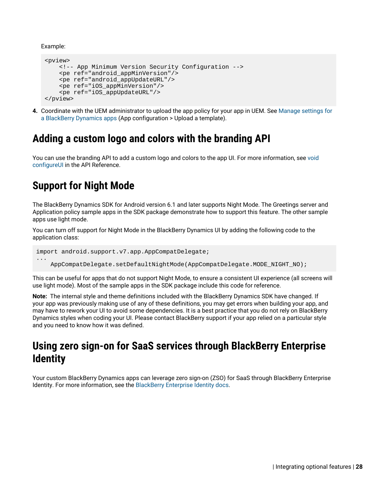Example:

```
<pview>
     <!-- App Minimum Version Security Configuration -->
     <pe ref="android_appMinVersion"/>
     <pe ref="android_appUpdateURL"/>
     <pe ref="iOS_appMinVersion"/>
     <pe ref="iOS_appUpdateURL"/>
</pview>
```
**4.** Coordinate with the UEM administrator to upload the app policy for your app in UEM. See [Manage settings for](https://docs.blackberry.com/en/endpoint-management/blackberry-uem/current/administration/blackberry-dynamics/vvq1471962941016) [a BlackBerry Dynamics apps](https://docs.blackberry.com/en/endpoint-management/blackberry-uem/current/administration/blackberry-dynamics/vvq1471962941016) (App configuration > Upload a template).

### <span id="page-27-0"></span>**Adding a custom logo and colors with the branding API**

You can use the branding API to add a custom logo and colors to the app UI. For more information, see [void](https://developer.blackberry.com/files/blackberry-dynamics/android/classcom_1_1good_1_1gd_1_1_g_d_android.html#a745a99d166c1d5e497d71f56b32d8904) [configureUI](https://developer.blackberry.com/files/blackberry-dynamics/android/classcom_1_1good_1_1gd_1_1_g_d_android.html#a745a99d166c1d5e497d71f56b32d8904) in the API Reference.

# <span id="page-27-1"></span>**Support for Night Mode**

The BlackBerry Dynamics SDK for Android version 6.1 and later supports Night Mode. The Greetings server and Application policy sample apps in the SDK package demonstrate how to support this feature. The other sample apps use light mode.

You can turn off support for Night Mode in the BlackBerry Dynamics UI by adding the following code to the application class:

```
import android.support.v7.app.AppCompatDelegate;
...
     AppCompatDelegate.setDefaultNightMode(AppCompatDelegate.MODE_NIGHT_NO);
```
This can be useful for apps that do not support Night Mode, to ensure a consistent UI experience (all screens will use light mode). Most of the sample apps in the SDK package include this code for reference.

**Note:** The internal style and theme definitions included with the BlackBerry Dynamics SDK have changed. If your app was previously making use of any of these definitions, you may get errors when building your app, and may have to rework your UI to avoid some dependencies. It is a best practice that you do not rely on BlackBerry Dynamics styles when coding your UI. Please contact BlackBerry support if your app relied on a particular style and you need to know how it was defined.

# <span id="page-27-2"></span>**Using zero sign-on for SaaS services through BlackBerry Enterprise Identity**

Your custom BlackBerry Dynamics apps can leverage zero sign-on (ZSO) for SaaS through BlackBerry Enterprise Identity. For more information, see the [BlackBerry Enterprise Identity docs.](https://docs.blackberry.com/en/id-comm-collab/blackberry-enterprise-id/latest/blackberry-enterprise-identity-administration-html/dzq1497032945731/xdt1496843238608/wix1497270979931)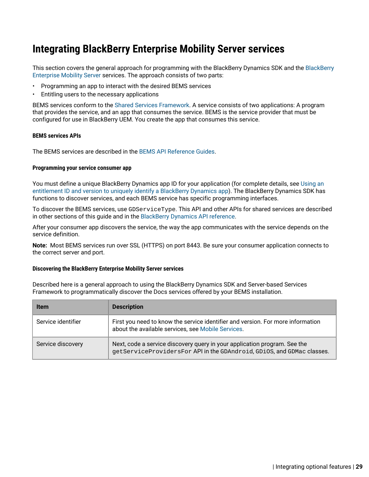## <span id="page-28-0"></span>**Integrating BlackBerry Enterprise Mobility Server services**

This section covers the general approach for programming with the BlackBerry Dynamics SDK and the [BlackBerry](https://docs.blackberry.com/en/endpoint-management/blackberry-enterprise-mobility-server/) [Enterprise Mobility Server](https://docs.blackberry.com/en/endpoint-management/blackberry-enterprise-mobility-server/) services. The approach consists of two parts:

- Programming an app to interact with the desired BEMS services
- Entitling users to the necessary applications

BEMS services conform to the [Shared Services Framework](#page-7-2). A service consists of two applications: A program that provides the service, and an app that consumes the service. BEMS is the service provider that must be configured for use in BlackBerry UEM. You create the app that consumes this service.

### **BEMS services APIs**

The BEMS services are described in the [BEMS API Reference Guides](https://docs.blackberry.com/en/endpoint-management/blackberry-enterprise-mobility-server/).

#### **Programming your service consumer app**

You must define a unique BlackBerry Dynamics app ID for your application (for complete details, see [Using an](#page-14-0) [entitlement ID and version to uniquely identify a BlackBerry Dynamics app](#page-14-0)). The BlackBerry Dynamics SDK has functions to discover services, and each BEMS service has specific programming interfaces.

To discover the BEMS services, use GDServiceType. This API and other APIs for shared services are described in other sections of this guide and in the [BlackBerry Dynamics API reference.](https://developers.blackberry.com/us/en/resources/api-reference.html)

After your consumer app discovers the service, the way the app communicates with the service depends on the service definition.

**Note:** Most BEMS services run over SSL (HTTPS) on port 8443. Be sure your consumer application connects to the correct server and port.

#### **Discovering the BlackBerry Enterprise Mobility Server services**

Described here is a general approach to using the BlackBerry Dynamics SDK and Server-based Services Framework to programmatically discover the Docs services offered by your BEMS installation.

| <b>Item</b>        | <b>Description</b>                                                                                                                                  |
|--------------------|-----------------------------------------------------------------------------------------------------------------------------------------------------|
| Service identifier | First you need to know the service identifier and version. For more information<br>about the available services, see Mobile Services.               |
| Service discovery  | Next, code a service discovery query in your application program. See the<br>getServiceProvidersFor API in the GDAndroid, GDiOS, and GDMac classes. |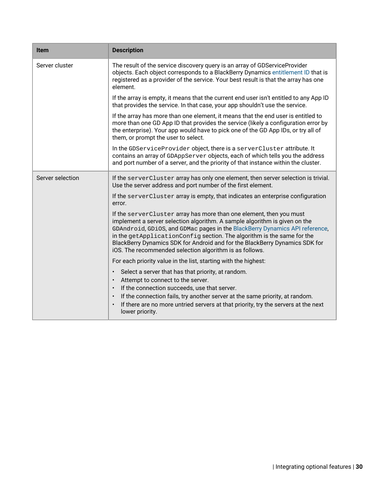| <b>Item</b>      | <b>Description</b>                                                                                                                                                                                                                                                                                                                                                                                                                                   |
|------------------|------------------------------------------------------------------------------------------------------------------------------------------------------------------------------------------------------------------------------------------------------------------------------------------------------------------------------------------------------------------------------------------------------------------------------------------------------|
| Server cluster   | The result of the service discovery query is an array of GDServiceProvider<br>objects. Each object corresponds to a BlackBerry Dynamics entitlement ID that is<br>registered as a provider of the service. Your best result is that the array has one<br>element.                                                                                                                                                                                    |
|                  | If the array is empty, it means that the current end user isn't entitled to any App ID<br>that provides the service. In that case, your app shouldn't use the service.                                                                                                                                                                                                                                                                               |
|                  | If the array has more than one element, it means that the end user is entitled to<br>more than one GD App ID that provides the service (likely a configuration error by<br>the enterprise). Your app would have to pick one of the GD App IDs, or try all of<br>them, or prompt the user to select.                                                                                                                                                  |
|                  | In the GDServiceProvider object, there is a serverCluster attribute. It<br>contains an array of GDAppServer objects, each of which tells you the address<br>and port number of a server, and the priority of that instance within the cluster.                                                                                                                                                                                                       |
| Server selection | If the serverCluster array has only one element, then server selection is trivial.<br>Use the server address and port number of the first element.                                                                                                                                                                                                                                                                                                   |
|                  | If the serverCluster array is empty, that indicates an enterprise configuration<br>error.                                                                                                                                                                                                                                                                                                                                                            |
|                  | If the serverCluster array has more than one element, then you must<br>implement a server selection algorithm. A sample algorithm is given on the<br>GDAndroid, GDiOS, and GDMac pages in the BlackBerry Dynamics API reference,<br>in the getApplicationConfig section. The algorithm is the same for the<br>BlackBerry Dynamics SDK for Android and for the BlackBerry Dynamics SDK for<br>iOS. The recommended selection algorithm is as follows. |
|                  | For each priority value in the list, starting with the highest:                                                                                                                                                                                                                                                                                                                                                                                      |
|                  | Select a server that has that priority, at random.<br>$\bullet$<br>Attempt to connect to the server.<br>If the connection succeeds, use that server.<br>If the connection fails, try another server at the same priority, at random.<br>If there are no more untried servers at that priority, try the servers at the next<br>lower priority.                                                                                                        |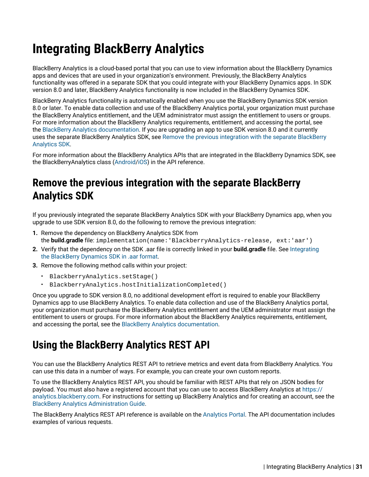# <span id="page-30-0"></span>**Integrating BlackBerry Analytics**

BlackBerry Analytics is a cloud-based portal that you can use to view information about the BlackBerry Dynamics apps and devices that are used in your organization's environment. Previously, the BlackBerry Analytics functionality was offered in a separate SDK that you could integrate with your BlackBerry Dynamics apps. In SDK version 8.0 and later, BlackBerry Analytics functionality is now included in the BlackBerry Dynamics SDK.

BlackBerry Analytics functionality is automatically enabled when you use the BlackBerry Dynamics SDK version 8.0 or later. To enable data collection and use of the BlackBerry Analytics portal, your organization must purchase the BlackBerry Analytics entitlement, and the UEM administrator must assign the entitlement to users or groups. For more information about the BlackBerry Analytics requirements, entitlement, and accessing the portal, see the [BlackBerry Analytics documentation.](https://docs.blackberry.com/en/endpoint-management/blackberry-analytics/) If you are upgrading an app to use SDK version 8.0 and it currently uses the separate BlackBerry Analytics SDK, see [Remove the previous integration with the separate BlackBerry](#page-30-1) [Analytics SDK.](#page-30-1)

For more information about the BlackBerry Analytics APIs that are integrated in the BlackBerry Dynamics SDK, see the BlackBerryAnalytics class [\(Android](https://developer.blackberry.com/files/blackberry-dynamics/android/https://developer.blackberry.com/files/blackberry-dynamics/android/classcom_1_1blackberry_1_1analytics_1_1analyticsengine_1_1_blackberry_analytics.html)[/iOS](https://developer.blackberry.com/files/blackberry-dynamics/ios/interface_b_a_f_blackberry_analytics.html)) in the API reference.

# <span id="page-30-1"></span>**Remove the previous integration with the separate BlackBerry Analytics SDK**

If you previously integrated the separate BlackBerry Analytics SDK with your BlackBerry Dynamics app, when you upgrade to use SDK version 8.0, do the following to remove the previous integration:

- **1.** Remove the dependency on BlackBerry Analytics SDK from the **build.gradle** file: implementation(name:'BlackberryAnalytics-release, ext:'aar')
- **2.** Verify that the dependency on the SDK .aar file is correctly linked in your **build.gradle** file. See Integrating the BlackBerry Dynamics SDK in .aar format.
- **3.** Remove the following method calls within your project:
	- BlackberryAnalytics.setStage()
	- BlackberryAnalytics.hostInitializationCompleted()

Once you upgrade to SDK version 8.0, no additional development effort is required to enable your BlackBerry Dynamics app to use BlackBerry Analytics. To enable data collection and use of the BlackBerry Analytics portal, your organization must purchase the BlackBerry Analytics entitlement and the UEM administrator must assign the entitlement to users or groups. For more information about the BlackBerry Analytics requirements, entitlement, and accessing the portal, see the [BlackBerry Analytics documentation](https://docs.blackberry.com/en/endpoint-management/blackberry-analytics/).

# <span id="page-30-2"></span>**Using the BlackBerry Analytics REST API**

You can use the BlackBerry Analytics REST API to retrieve metrics and event data from BlackBerry Analytics. You can use this data in a number of ways. For example, you can create your own custom reports.

To use the BlackBerry Analytics REST API, you should be familiar with REST APIs that rely on JSON bodies for payload. You must also have a registered account that you can use to access BlackBerry Analytics at [https://](https://analytics.blackberry.com) [analytics.blackberry.com.](https://analytics.blackberry.com) For instructions for setting up BlackBerry Analytics and for creating an account, see the [BlackBerry Analytics Administration Guide](https://docs.blackberry.com/en/endpoint-management/blackberry-analytics/latest/administration-guide/).

The BlackBerry Analytics REST API reference is available on the [Analytics Portal.](https://developer.blackberry.com/files/blackberry-analytics/Api.html#top) The API documentation includes examples of various requests.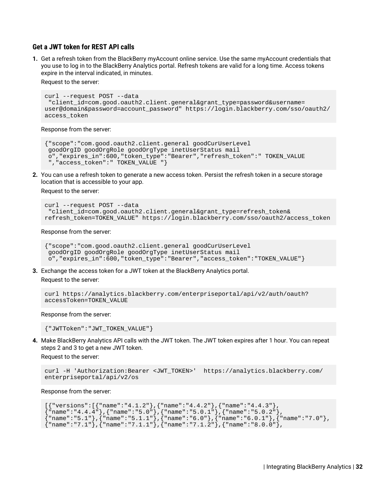### <span id="page-31-0"></span>**Get a JWT token for REST API calls**

**1.** Get a refresh token from the BlackBerry myAccount online service. Use the same myAccount credentials that you use to log in to the BlackBerry Analytics portal. Refresh tokens are valid for a long time. Access tokens expire in the interval indicated, in minutes.

Request to the server:

```
curl --request POST --data
 "client_id=com.good.oauth2.client.general&grant_type=password&username=
user@domain&password=account_password" https://login.blackberry.com/sso/oauth2/
access_token
```
Response from the server:

```
{"scope":"com.good.oauth2.client.general goodCurUserLevel
 goodOrgID goodOrgRole goodOrgType inetUserStatus mail
 o","expires_in":600,"token_type":"Bearer","refresh_token":" TOKEN_VALUE
  ","access_token":" TOKEN_VALUE "}
```
**2.** You can use a refresh token to generate a new access token. Persist the refresh token in a secure storage location that is accessible to your app.

Request to the server:

```
curl --request POST --data
  "client_id=com.good.oauth2.client.general&grant_type=refresh_token&
refresh_token=TOKEN_VALUE" https://login.blackberry.com/sso/oauth2/access_token
```
Response from the server:

```
{"scope":"com.good.oauth2.client.general goodCurUserLevel
 goodOrgID goodOrgRole goodOrgType inetUserStatus mail
 o","expires_in":600,"token_type":"Bearer","access_token":"TOKEN_VALUE"}
```
**3.** Exchange the access token for a JWT token at the BlackBerry Analytics portal.

Request to the server:

```
curl https://analytics.blackberry.com/enterpriseportal/api/v2/auth/oauth?
accessToken=TOKEN_VALUE
```
Response from the server:

{"JWTToken":"JWT\_TOKEN\_VALUE"}

**4.** Make BlackBerry Analytics API calls with the JWT token. The JWT token expires after 1 hour. You can repeat steps 2 and 3 to get a new JWT token.

Request to the server:

```
curl -H 'Authorization:Bearer <JWT_TOKEN>' https://analytics.blackberry.com/
enterpriseportal/api/v2/os
```
Response from the server:

```
[{\n    'versions":[ {\n        "name": "4.1.2"} }, {\n        "name": "4.4.2"} }, {\n        "name": "4.4.3"} }{"name":"4.4.4"},{"name":"5.0"},{"name":"5.0.1"},{"name":"5.0.2"},
{"name":"5.1"},{"name":"5.1.1"},{"name":"6.0"},{"name":"6.0.1"},{"name":"7.0"},
\{ "name":"7.1"},\{ "name":"7.1.1"},\{ "name":"7.1.2"},\{ "name":"8.0.0"},
```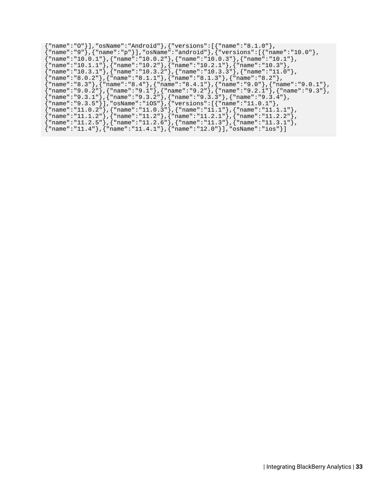| ["name":"0"}],"osName":"Android"},{"versions":[{"name":"8.1.0"},                      |
|---------------------------------------------------------------------------------------|
| {"name":"9"},{"name":"p"}],"osName":"android"},{"versions":[{"name":"10.0"},          |
| , '"name":"10.0.1"}, {"name":"10.0.2"}, {"name":"10.0.3"}, {"name":"10.1"},           |
| , {"name":"10.1.1"}, {"name":"10.2"}, {"name":"10.2.1"}, {"name":"10.3"},             |
| "name":"10.3.1" }, {"name":"10.3.2" }, {"name":"10.3.3" }, {"name":"11.0" },          |
| , "name":"8.0.2"}, { "name":"8.1.1"}, { "name":"8.1.3"}, { "name":"8.2"},             |
| , {"name":"8.3"}, {"name":"8.4"}, {"name":"8.4.1"}, {"name":"9.0"}, {"name":"9.0.1"}, |
| , {"name":"9.0.2"}, {"name":"9.1"}, {"name":"9.2"}, {"name":"9.2.1"}, {"name":"9.3"}, |
| "name":"9.3.1"}, {"name":"9.3.2"}, {"name":"9.3.3"}, {"name":"9.3.4"},                |
| ["name":"9.3.5"}],"osName":"iOS"},{"versions":[{"name":"11.0.1"},                     |
| , {"name":"11.0.2"}, {"name":"11.0.3"}, {"name":"11.1"}, {"name":"11.1.1"},           |
| 「"name":"11.1.2"},{"name":"11.2"},{"name":"11.2.1"},{"name":"11.2.2"},                |
| {"name":"11.2.5"},{"name":"11.2.6"},{"name":"11.3"},{"name":"11.3.1"},                |
| {"name":"11.4"},{"name":"11.4.1"},{"name":"12.0"}],"osName":"ios"}]                   |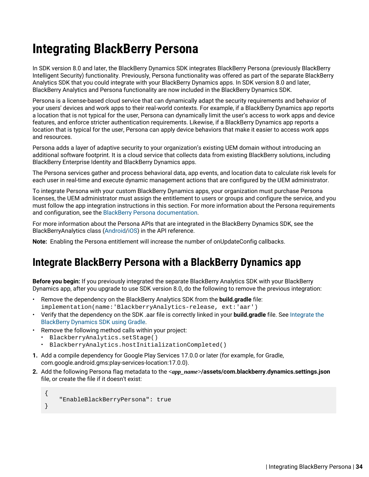# <span id="page-33-0"></span>**Integrating BlackBerry Persona**

In SDK version 8.0 and later, the BlackBerry Dynamics SDK integrates BlackBerry Persona (previously BlackBerry Intelligent Security) functionality. Previously, Persona functionality was offered as part of the separate BlackBerry Analytics SDK that you could integrate with your BlackBerry Dynamics apps. In SDK version 8.0 and later, BlackBerry Analytics and Persona functionality are now included in the BlackBerry Dynamics SDK.

Persona is a license-based cloud service that can dynamically adapt the security requirements and behavior of your users' devices and work apps to their real-world contexts. For example, if a BlackBerry Dynamics app reports a location that is not typical for the user, Persona can dynamically limit the user's access to work apps and device features, and enforce stricter authentication requirements. Likewise, if a BlackBerry Dynamics app reports a location that is typical for the user, Persona can apply device behaviors that make it easier to access work apps and resources.

Persona adds a layer of adaptive security to your organization's existing UEM domain without introducing an additional software footprint. It is a cloud service that collects data from existing BlackBerry solutions, including BlackBerry Enterprise Identity and BlackBerry Dynamics apps.

The Persona services gather and process behavioral data, app events, and location data to calculate risk levels for each user in real-time and execute dynamic management actions that are configured by the UEM administrator.

To integrate Persona with your custom BlackBerry Dynamics apps, your organization must purchase Persona licenses, the UEM administrator must assign the entitlement to users or groups and configure the service, and you must follow the app integration instructions in this section. For more information about the Persona requirements and configuration, see the [BlackBerry Persona documentation.](https://docs.blackberry.com/en/unified-endpoint-security/blackberry-persona-uem/latest)

For more information about the Persona APIs that are integrated in the BlackBerry Dynamics SDK, see the BlackBerryAnalytics class ([Android/](https://developer.blackberry.com/files/blackberry-dynamics/android/classcom_1_1blackberry_1_1analytics_1_1analyticsengine_1_1_blackberry_analytics.html)[iOS\)](https://developer.blackberry.com/files/blackberry-dynamics/ios/interface_b_a_f_blackberry_analytics.html) in the API reference.

**Note:** Enabling the Persona entitlement will increase the number of onUpdateConfig callbacks.

### <span id="page-33-1"></span>**Integrate BlackBerry Persona with a BlackBerry Dynamics app**

**Before you begin:** If you previously integrated the separate BlackBerry Analytics SDK with your BlackBerry Dynamics app, after you upgrade to use SDK version 8.0, do the following to remove the previous integration:

- Remove the dependency on the BlackBerry Analytics SDK from the **build.gradle** file: implementation(name:'BlackberryAnalytics-release, ext:'aar')
- Verify that the dependency on the SDK .aar file is correctly linked in your **build.gradle** file. See [Integrate the](#page-20-0) [BlackBerry Dynamics SDK using Gradle](#page-20-0).
- Remove the following method calls within your project:
	- BlackberryAnalytics.setStage()
	- BlackberryAnalytics.hostInitializationCompleted()
- **1.** Add a compile dependency for Google Play Services 17.0.0 or later (for example, for Gradle, com.google.android.gms:play-services-location:17.0.0).
- **2.** Add the following Persona flag metadata to the *<app\_name>***/assets/com.blackberry.dynamics.settings.json** file, or create the file if it doesn't exist:

{ "EnableBlackBerryPersona": true }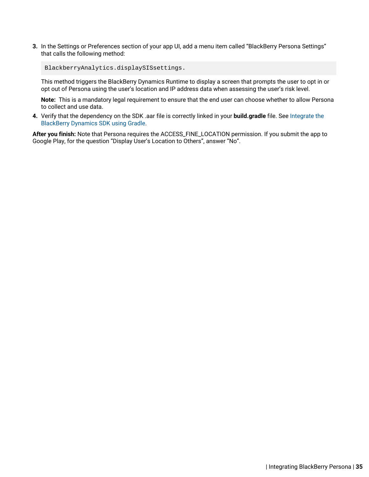**3.** In the Settings or Preferences section of your app UI, add a menu item called "BlackBerry Persona Settings" that calls the following method:

BlackberryAnalytics.displaySISsettings.

This method triggers the BlackBerry Dynamics Runtime to display a screen that prompts the user to opt in or opt out of Persona using the user's location and IP address data when assessing the user's risk level.

**Note:** This is a mandatory legal requirement to ensure that the end user can choose whether to allow Persona to collect and use data.

**4.** Verify that the dependency on the SDK .aar file is correctly linked in your **build.gradle** file. See [Integrate the](#page-20-0) [BlackBerry Dynamics SDK using Gradle](#page-20-0).

**After you finish:** Note that Persona requires the ACCESS\_FINE\_LOCATION permission. If you submit the app to Google Play, for the question "Display User's Location to Others", answer "No".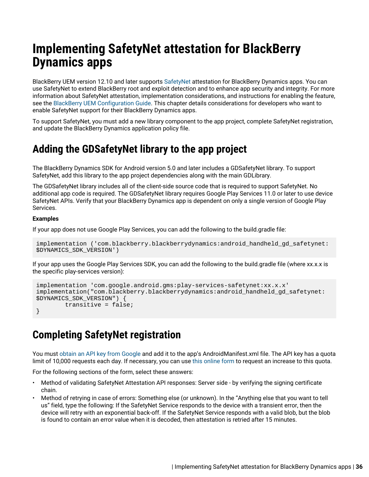# <span id="page-35-0"></span>**Implementing SafetyNet attestation for BlackBerry Dynamics apps**

BlackBerry UEM version 12.10 and later supports [SafetyNet](https://developers.google.com/android/reference/com/google/android/gms/safetynet/SafetyNet) attestation for BlackBerry Dynamics apps. You can use SafetyNet to extend BlackBerry root and exploit detection and to enhance app security and integrity. For more information about SafetyNet attestation, implementation considerations, and instructions for enabling the feature, see the [BlackBerry UEM Configuration Guide](https://docs.blackberry.com/en/endpoint-management/blackberry-uem/current/installation-configuration/configuration). This chapter details considerations for developers who want to enable SafetyNet support for their BlackBerry Dynamics apps.

To support SafetyNet, you must add a new library component to the app project, complete SafetyNet registration, and update the BlackBerry Dynamics application policy file.

# <span id="page-35-1"></span>**Adding the GDSafetyNet library to the app project**

The BlackBerry Dynamics SDK for Android version 5.0 and later includes a GDSafetyNet library. To support SafetyNet, add this library to the app project dependencies along with the main GDLibrary.

The GDSafetyNet library includes all of the client-side source code that is required to support SafetyNet. No additional app code is required. The GDSafetyNet library requires Google Play Services 11.0 or later to use device SafetyNet APIs. Verify that your BlackBerry Dynamics app is dependent on only a single version of Google Play Services.

### **Examples**

If your app does not use Google Play Services, you can add the following to the build.gradle file:

```
implementation ('com.blackberry.blackberrydynamics:android_handheld_gd_safetynet:
$DYNAMICS_SDK_VERSION')
```
If your app uses the Google Play Services SDK, you can add the following to the build.gradle file (where xx.x.x is the specific play-services version):

```
implementation 'com.google.android.gms:play-services-safetynet:xx.x.x'
implementation("com.blackberry.blackberrydynamics:android_handheld_gd_safetynet:
$DYNAMICS_SDK_VERSION") {
        transitive = false;
}
```
# <span id="page-35-2"></span>**Completing SafetyNet registration**

You must [obtain an API key from Google](https://developer.android.com/training/safetynet/attestation#add-api-key) and add it to the app's AndroidManifest.xml file. The API key has a quota limit of 10,000 requests each day. If necessary, you can use [this online form](https://support.google.com/googleplay/android-developer/contact/safetynetqr) to request an increase to this quota.

For the following sections of the form, select these answers:

- Method of validating SafetyNet Attestation API responses: Server side by verifying the signing certificate chain.
- Method of retrying in case of errors: Something else (or unknown). In the "Anything else that you want to tell us" field, type the following: If the SafetyNet Service responds to the device with a transient error, then the device will retry with an exponential back-off. If the SafetyNet Service responds with a valid blob, but the blob is found to contain an error value when it is decoded, then attestation is retried after 15 minutes.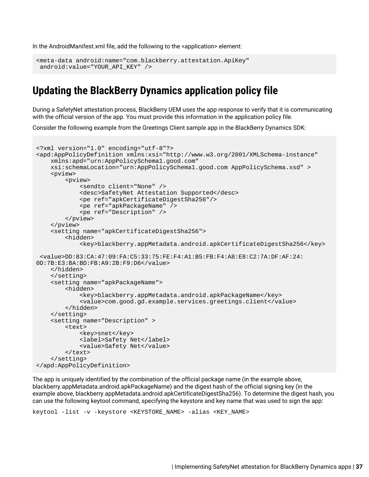In the AndroidManifest.xml file, add the following to the <application> element:

```
<meta-data android:name="com.blackberry.attestation.ApiKey"
 android:value="YOUR_API_KEY" />
```
### <span id="page-36-0"></span>**Updating the BlackBerry Dynamics application policy file**

During a SafetyNet attestation process, BlackBerry UEM uses the app response to verify that it is communicating with the official version of the app. You must provide this information in the application policy file.

Consider the following example from the Greetings Client sample app in the BlackBerry Dynamics SDK:

```
<?xml version="1.0" encoding="utf-8"?>
<apd:AppPolicyDefinition xmlns:xsi="http://www.w3.org/2001/XMLSchema-instance"
     xmlns:apd="urn:AppPolicySchema1.good.com" 
     xsi:schemaLocation="urn:AppPolicySchema1.good.com AppPolicySchema.xsd" >
     <pview>
         <pview>
             <sendto client="None" />
             <desc>SafetyNet Attestation Supported</desc>
             <pe ref="apkCertificateDigestSha256"/>
             <pe ref="apkPackageName" />
             <pe ref="Description" />
         </pview>
     </pview>
     <setting name="apkCertificateDigestSha256">
         <hidden>
              <key>blackberry.appMetadata.android.apkCertificateDigestSha256</key>
  <value>DD:83:CA:47:09:FA:C5:33:75:FE:F4:A1:B5:FB:F4:A8:E8:C2:7A:DF:AF:24:
0D:7B:E3:BA:BD:FB:A9:2B:F9:D6</value>
     </hidden>
     </setting>
     <setting name="apkPackageName">
         <hidden>
              <key>blackberry.appMetadata.android.apkPackageName</key>
              <value>com.good.gd.example.services.greetings.client</value>
         </hidden>
     </setting>
     <setting name="Description" >
        <sub>tx</sub> + 2</sub>
             <key>snet</key>
             <label>Safety Net</label>
             <value>Safety Net</value>
         </text>
     </setting>
</apd:AppPolicyDefinition>
```
The app is uniquely identified by the combination of the official package name (in the example above, blackberry.appMetadata.android.apkPackageName) and the digest hash of the official signing key (in the example above, blackberry.appMetadata.android.apkCertificateDigestSha256). To determine the digest hash, you can use the following keytool command, specifying the keystore and key name that was used to sign the app:

keytool -list -v -keystore <KEYSTORE\_NAME> -alias <KEY\_NAME>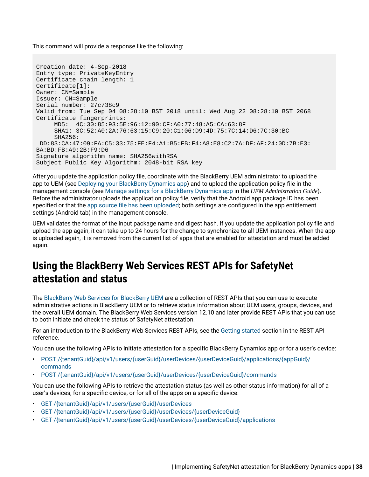This command will provide a response like the following:

```
Creation date: 4-Sep-2018
Entry type: PrivateKeyEntry
Certificate chain length: 1
Certificate[1]:
Owner: CN=Sample
Issuer: CN=Sample
Serial number: 27c738c9
Valid from: Tue Sep 04 08:28:10 BST 2018 until: Wed Aug 22 08:28:10 BST 2068
Certificate fingerprints:
     MD5: 4C:30:85:93:5E:96:12:90:CF:A0:77:48:A5:CA:63:8F
     SHA1: 3C:52:A0:2A:76:63:15:C9:20:C1:06:D9:4D:75:7C:14:D6:7C:30:BC
     SHA256:
 DD:83:CA:47:09:FA:C5:33:75:FE:F4:A1:B5:FB:F4:A8:E8:C2:7A:DF:AF:24:0D:7B:E3:
BA:BD:FB:A9:2B:F9:D6
Signature algorithm name: SHA256withRSA
Subject Public Key Algorithm: 2048-bit RSA key
```
After you update the application policy file, coordinate with the BlackBerry UEM administrator to upload the app to UEM (see [Deploying your BlackBerry Dynamics app](#page-51-0)) and to upload the application policy file in the management console (see [Manage settings for a BlackBerry Dynamics app](https://docs.blackberry.com/en/endpoint-management/blackberry-uem/12_11/administration/blackberry-dynamics/vvq1471962941016) in the *UEM Administration Guide*). Before the administrator uploads the application policy file, verify that the Android app package ID has been specified or that the [app source file has been uploaded;](https://docs.blackberry.com/en/endpoint-management/blackberry-uem/12_11/administration/blackberry-dynamics/Adding-Dynamics-apps/zjx1471960344735/cfn1476451456557) both settings are configured in the app entitlement settings (Android tab) in the management console.

UEM validates the format of the input package name and digest hash. If you update the application policy file and upload the app again, it can take up to 24 hours for the change to synchronize to all UEM instances. When the app is uploaded again, it is removed from the current list of apps that are enabled for attestation and must be added again.

# <span id="page-37-0"></span>**Using the BlackBerry Web Services REST APIs for SafetyNet attestation and status**

The [BlackBerry Web Services for BlackBerry UEM](https://docs.blackberry.com/en/development-tools/blackberry-web-services-for-blackberry-uem/) are a collection of REST APIs that you can use to execute administrative actions in BlackBerry UEM or to retrieve status information about UEM users, groups, devices, and the overall UEM domain. The BlackBerry Web Services version 12.10 and later provide REST APIs that you can use to both initiate and check the status of SafetyNet attestation.

For an introduction to the BlackBerry Web Services REST APIs, see the [Getting started](https://developer.blackberry.com/files/bws/reference/blackberry_uem_12_13_rest/gettingStarted.html) section in the REST API reference.

You can use the following APIs to initiate attestation for a specific BlackBerry Dynamics app or for a user's device:

- [POST /{tenantGuid}/api/v1/users/{userGuid}/userDevices/{userDeviceGuid}/applications/{appGuid}/](https://developer.blackberry.com/files/bws/reference/blackberry_uem_12_13_rest/resource_Users.html#resource_Users_sendUserDeviceApplicationCommand_POST) [commands](https://developer.blackberry.com/files/bws/reference/blackberry_uem_12_13_rest/resource_Users.html#resource_Users_sendUserDeviceApplicationCommand_POST)
- [POST /{tenantGuid}/api/v1/users/{userGuid}/userDevices/{userDeviceGuid}/commands](https://developer.blackberry.com/files/bws/reference/blackberry_uem_12_13_rest/resource_Users.html#resource_Users_sendUserDeviceCommand_POST)

You can use the following APIs to retrieve the attestation status (as well as other status information) for all of a user's devices, for a specific device, or for all of the apps on a specific device:

- [GET /{tenantGuid}/api/v1/users/{userGuid}/userDevices](https://developer.blackberry.com/files/bws/reference/blackberry_uem_12_13_rest/resource_Users.html#resource_Users_getUserDevices_GET)
- [GET /{tenantGuid}/api/v1/users/{userGuid}/userDevices/{userDeviceGuid}](https://developer.blackberry.com/files/bws/reference/blackberry_uem_12_13_rest/resource_Users.html#resource_Users_getUserDevice_GET)
- [GET /{tenantGuid}/api/v1/users/{userGuid}/userDevices/{userDeviceGuid}/applications](https://developer.blackberry.com/files/bws/reference/blackberry_uem_12_13_rest/resource_Users.html#resource_Users_getUserDeviceApplications_GET)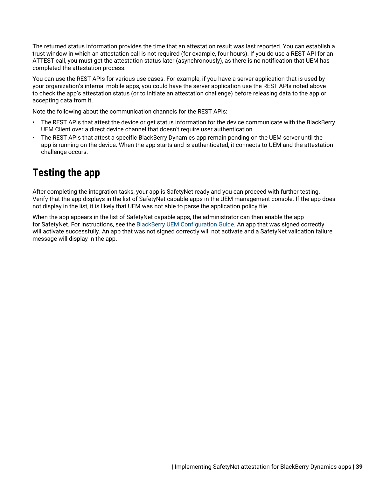The returned status information provides the time that an attestation result was last reported. You can establish a trust window in which an attestation call is not required (for example, four hours). If you do use a REST API for an ATTEST call, you must get the attestation status later (asynchronously), as there is no notification that UEM has completed the attestation process.

You can use the REST APIs for various use cases. For example, if you have a server application that is used by your organization's internal mobile apps, you could have the server application use the REST APIs noted above to check the app's attestation status (or to initiate an attestation challenge) before releasing data to the app or accepting data from it.

Note the following about the communication channels for the REST APIs:

- The REST APIs that attest the device or get status information for the device communicate with the BlackBerry UEM Client over a direct device channel that doesn't require user authentication.
- The REST APIs that attest a specific BlackBerry Dynamics app remain pending on the UEM server until the app is running on the device. When the app starts and is authenticated, it connects to UEM and the attestation challenge occurs.

# <span id="page-38-0"></span>**Testing the app**

After completing the integration tasks, your app is SafetyNet ready and you can proceed with further testing. Verify that the app displays in the list of SafetyNet capable apps in the UEM management console. If the app does not display in the list, it is likely that UEM was not able to parse the application policy file.

When the app appears in the list of SafetyNet capable apps, the administrator can then enable the app for SafetyNet. For instructions, see the [BlackBerry UEM Configuration Guide](https://docs.blackberry.com/en/endpoint-management/blackberry-uem/current/installation-configuration/configuration). An app that was signed correctly will activate successfully. An app that was not signed correctly will not activate and a SafetyNet validation failure message will display in the app.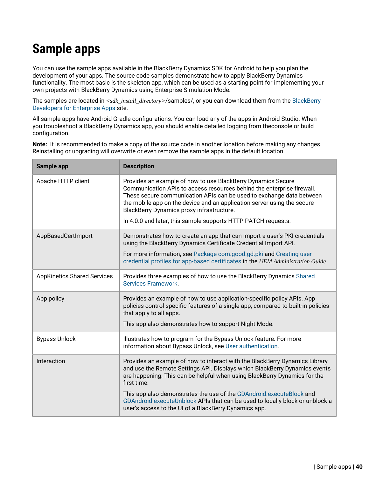# <span id="page-39-0"></span>**Sample apps**

You can use the sample apps available in the BlackBerry Dynamics SDK for Android to help you plan the development of your apps. The source code samples demonstrate how to apply BlackBerry Dynamics functionality. The most basic is the skeleton app, which can be used as a starting point for implementing your own projects with BlackBerry Dynamics using Enterprise Simulation Mode.

The samples are located in *<sdk\_install\_directory>*/samples/, or you can download them from the [BlackBerry](https://developers.blackberry.com/us/en/resources/samples/blackberry-dynamics-sdk-samples.html) [Developers for Enterprise Apps](https://developers.blackberry.com/us/en/resources/samples/blackberry-dynamics-sdk-samples.html) site.

All sample apps have Android Gradle configurations. You can load any of the apps in Android Studio. When you troubleshoot a BlackBerry Dynamics app, you should enable detailed logging from theconsole or build configuration.

**Note:** It is recommended to make a copy of the source code in another location before making any changes. Reinstalling or upgrading will overwrite or even remove the sample apps in the default location.

| Sample app                         | <b>Description</b>                                                                                                                                                                                                                                                                                                                                                                                                                                                     |
|------------------------------------|------------------------------------------------------------------------------------------------------------------------------------------------------------------------------------------------------------------------------------------------------------------------------------------------------------------------------------------------------------------------------------------------------------------------------------------------------------------------|
| Apache HTTP client                 | Provides an example of how to use BlackBerry Dynamics Secure<br>Communication APIs to access resources behind the enterprise firewall.<br>These secure communication APIs can be used to exchange data between<br>the mobile app on the device and an application server using the secure<br>BlackBerry Dynamics proxy infrastructure.<br>In 4.0.0 and later, this sample supports HTTP PATCH requests.                                                                |
| AppBasedCertImport                 | Demonstrates how to create an app that can import a user's PKI credentials<br>using the BlackBerry Dynamics Certificate Credential Import API.<br>For more information, see Package com.good.gd.pki and Creating user<br>credential profiles for app-based certificates in the UEM Administration Guide.                                                                                                                                                               |
| <b>AppKinetics Shared Services</b> | Provides three examples of how to use the BlackBerry Dynamics Shared<br><b>Services Framework.</b>                                                                                                                                                                                                                                                                                                                                                                     |
| App policy                         | Provides an example of how to use application-specific policy APIs. App<br>policies control specific features of a single app, compared to built-in policies<br>that apply to all apps.<br>This app also demonstrates how to support Night Mode.                                                                                                                                                                                                                       |
| <b>Bypass Unlock</b>               | Illustrates how to program for the Bypass Unlock feature. For more<br>information about Bypass Unlock, see User authentication.                                                                                                                                                                                                                                                                                                                                        |
| Interaction                        | Provides an example of how to interact with the BlackBerry Dynamics Library<br>and use the Remote Settings API. Displays which BlackBerry Dynamics events<br>are happening. This can be helpful when using BlackBerry Dynamics for the<br>first time.<br>This app also demonstrates the use of the GDAndroid.executeBlock and<br>GDAndroid.executeUnblock APIs that can be used to locally block or unblock a<br>user's access to the UI of a BlackBerry Dynamics app. |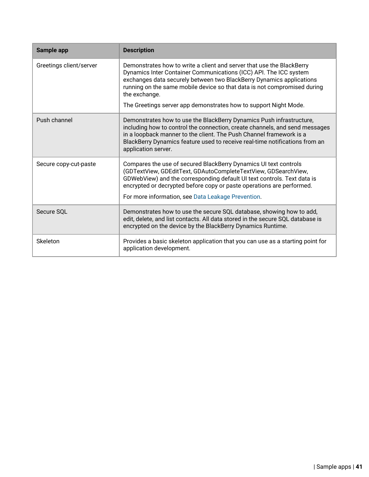| Sample app              | <b>Description</b>                                                                                                                                                                                                                                                                                                                                                                  |
|-------------------------|-------------------------------------------------------------------------------------------------------------------------------------------------------------------------------------------------------------------------------------------------------------------------------------------------------------------------------------------------------------------------------------|
| Greetings client/server | Demonstrates how to write a client and server that use the BlackBerry<br>Dynamics Inter Container Communications (ICC) API. The ICC system<br>exchanges data securely between two BlackBerry Dynamics applications<br>running on the same mobile device so that data is not compromised during<br>the exchange.<br>The Greetings server app demonstrates how to support Night Mode. |
| Push channel            | Demonstrates how to use the BlackBerry Dynamics Push infrastructure,<br>including how to control the connection, create channels, and send messages<br>in a loopback manner to the client. The Push Channel framework is a<br>BlackBerry Dynamics feature used to receive real-time notifications from an<br>application server.                                                    |
| Secure copy-cut-paste   | Compares the use of secured BlackBerry Dynamics UI text controls<br>(GDTextView, GDEditText, GDAutoCompleteTextView, GDSearchView,<br>GDWebView) and the corresponding default UI text controls. Text data is<br>encrypted or decrypted before copy or paste operations are performed.<br>For more information, see Data Leakage Prevention.                                        |
| Secure SQL              | Demonstrates how to use the secure SQL database, showing how to add,<br>edit, delete, and list contacts. All data stored in the secure SQL database is<br>encrypted on the device by the BlackBerry Dynamics Runtime.                                                                                                                                                               |
| Skeleton                | Provides a basic skeleton application that you can use as a starting point for<br>application development.                                                                                                                                                                                                                                                                          |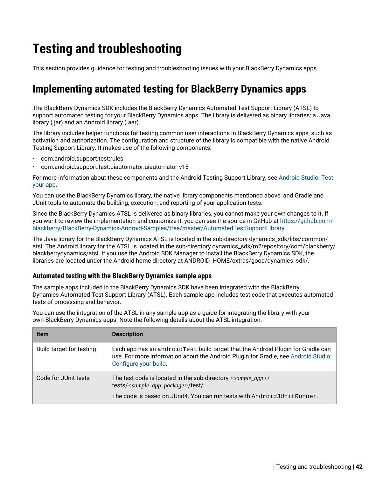# <span id="page-41-0"></span>**Testing and troubleshooting**

This section provides guidance for testing and troubleshooting issues with your BlackBerry Dynamics apps.

## <span id="page-41-1"></span>**Implementing automated testing for BlackBerry Dynamics apps**

The BlackBerry Dynamics SDK includes the BlackBerry Dynamics Automated Test Support Library (ATSL) to support automated testing for your BlackBerry Dynamics apps. The library is delivered as binary libraries: a Java library (.jar) and an Android library (.aar).

The library includes helper functions for testing common user interactions in BlackBerry Dynamics apps, such as activation and authorization. The configuration and structure of the library is compatible with the native Android Testing Support Library. It makes use of the following components:

- com.android.support.test:rules
- com.android.support.test.uiautomator:uiautomator-v18

For more information about these components and the Android Testing Support Library, see [Android Studio: Test](https://developer.android.com/studio/test/) [your app](https://developer.android.com/studio/test/).

You can use the BlackBerry Dynamics library, the native library components mentioned above, and Gradle and JUnit tools to automate the building, execution, and reporting of your application tests.

Since the BlackBerry Dynamics ATSL is delivered as binary libraries, you cannot make your own changes to it. If you want to review the implementation and customize it, you can see the source in GitHub at [https://github.com/](https://github.com/blackberry/BlackBerry-Dynamics-Android-Samples/tree/master/AutomatedTestSupportLibrary) [blackberry/BlackBerry-Dynamics-Android-Samples/tree/master/AutomatedTestSupportLibrary](https://github.com/blackberry/BlackBerry-Dynamics-Android-Samples/tree/master/AutomatedTestSupportLibrary).

The Java library for the BlackBerry Dynamics ATSL is located in the sub-directory dynamics\_sdk/libs/common/ atsl. The Android library for the ATSL is located in the sub-directory dynamics\_sdk/m2repository/com/blackberry/ blackberrydynamics/atsl. If you use the Android SDK Manager to install the BlackBerry Dynamics SDK, the libraries are located under the Android home directory at ANDROID\_HOME/extras/good/dynamics\_sdk/.

### <span id="page-41-2"></span>**Automated testing with the BlackBerry Dynamics sample apps**

The sample apps included in the BlackBerry Dynamics SDK have been integrated with the BlackBerry Dynamics Automated Test Support Library (ATSL). Each sample app includes test code that executes automated tests of processing and behavior.

You can use the integration of the ATSL in any sample app as a guide for integrating the library with your own BlackBerry Dynamics apps. Note the following details about the ATSL integration:

| Item                     | <b>Description</b>                                                                                                                                                                                                            |
|--------------------------|-------------------------------------------------------------------------------------------------------------------------------------------------------------------------------------------------------------------------------|
| Build target for testing | Each app has an android Test build target that the Android Plugin for Gradle can<br>use. For more information about the Android Plugin for Gradle, see Android Studio:<br>Configure your build.                               |
| Code for JUnit tests     | The test code is located in the sub-directory $\langle \mathit{sample\_app} \rangle /$<br>tests/ <sample_app_package>/test/.<br/>The code is based on JUnit4. You can run tests with AndroidJUnitRunner.</sample_app_package> |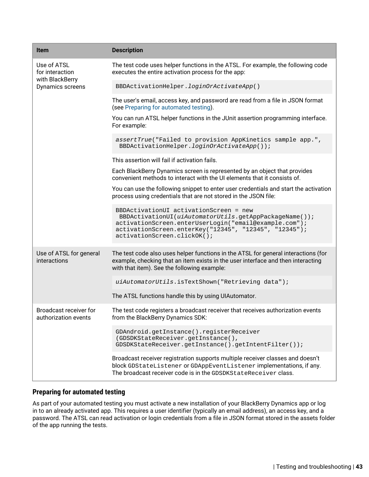| <b>Item</b>                                                           | <b>Description</b>                                                                                                                                                                                                                                |
|-----------------------------------------------------------------------|---------------------------------------------------------------------------------------------------------------------------------------------------------------------------------------------------------------------------------------------------|
| Use of ATSL<br>for interaction<br>with BlackBerry<br>Dynamics screens | The test code uses helper functions in the ATSL. For example, the following code<br>executes the entire activation process for the app:                                                                                                           |
|                                                                       | BBDActivationHelper.loginOrActivateApp()                                                                                                                                                                                                          |
|                                                                       | The user's email, access key, and password are read from a file in JSON format<br>(see Preparing for automated testing).                                                                                                                          |
|                                                                       | You can run ATSL helper functions in the JUnit assertion programming interface.<br>For example:                                                                                                                                                   |
|                                                                       | assertTrue("Failed to provision AppKinetics sample app.",<br>BBDActivationHelper.loginOrActivateApp());                                                                                                                                           |
|                                                                       | This assertion will fail if activation fails.                                                                                                                                                                                                     |
|                                                                       | Each BlackBerry Dynamics screen is represented by an object that provides<br>convenient methods to interact with the UI elements that it consists of.                                                                                             |
|                                                                       | You can use the following snippet to enter user credentials and start the activation<br>process using credentials that are not stored in the JSON file:                                                                                           |
|                                                                       | BBDActivationUI activationScreen = new<br>BBDActivationUI(uiAutomatorUtils.getAppPackageName());<br>activationScreen.enterUserLogin("email@example.com");<br>activationScreen.enterKey("12345", "12345", "12345");<br>activationScreen.clickOK(); |
| Use of ATSL for general<br>interactions                               | The test code also uses helper functions in the ATSL for general interactions (for<br>example, checking that an item exists in the user interface and then interacting<br>with that item). See the following example:                             |
|                                                                       | uiAutomatorUtils.isTextShown("Retrieving data");                                                                                                                                                                                                  |
|                                                                       | The ATSL functions handle this by using UIAutomator.                                                                                                                                                                                              |
| Broadcast receiver for<br>authorization events                        | The test code registers a broadcast receiver that receives authorization events<br>from the BlackBerry Dynamics SDK:                                                                                                                              |
|                                                                       | GDAndroid.getInstance().registerReceiver<br>(GDSDKStateReceiver.getInstance(),<br>GDSDKStateReceiver.getInstance().getIntentFilter());                                                                                                            |
|                                                                       | Broadcast receiver registration supports multiple receiver classes and doesn't<br>block GDStateListener or GDAppEventListener implementations, if any.<br>The broadcast receiver code is in the GDSDKStateReceiver class.                         |

### <span id="page-42-0"></span>**Preparing for automated testing**

As part of your automated testing you must activate a new installation of your BlackBerry Dynamics app or log in to an already activated app. This requires a user identifier (typically an email address), an access key, and a password. The ATSL can read activation or login credentials from a file in JSON format stored in the assets folder of the app running the tests.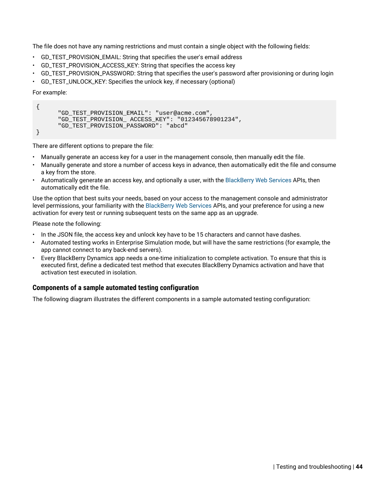The file does not have any naming restrictions and must contain a single object with the following fields:

- GD\_TEST\_PROVISION\_EMAIL: String that specifies the user's email address
- GD\_TEST\_PROVISION\_ACCESS\_KEY: String that specifies the access key
- GD\_TEST\_PROVISION\_PASSWORD: String that specifies the user's password after provisioning or during login
- GD\_TEST\_UNLOCK\_KEY: Specifies the unlock key, if necessary (optional)

For example:

```
{
      "GD_TEST_PROVISION_EMAIL": "user@acme.com",
       "GD_TEST_PROVISION_ ACCESS_KEY": "012345678901234",
       "GD_TEST_PROVISION_PASSWORD": "abcd"
}
```
There are different options to prepare the file:

- Manually generate an access key for a user in the management console, then manually edit the file.
- Manually generate and store a number of access keys in advance, then automatically edit the file and consume a key from the store.
- Automatically generate an access key, and optionally a user, with the [BlackBerry Web Services](https://docs.blackberry.com/en/development-tools/blackberry-web-services-for-blackberry-uem/) APIs, then automatically edit the file.

Use the option that best suits your needs, based on your access to the management console and administrator level permissions, your familiarity with the [BlackBerry Web Services](https://docs.blackberry.com/en/development-tools/blackberry-web-services-for-blackberry-uem/) APIs, and your preference for using a new activation for every test or running subsequent tests on the same app as an upgrade.

Please note the following:

- In the JSON file, the access key and unlock key have to be 15 characters and cannot have dashes.
- Automated testing works in Enterprise Simulation mode, but will have the same restrictions (for example, the app cannot connect to any back-end servers).
- Every BlackBerry Dynamics app needs a one-time initialization to complete activation. To ensure that this is executed first, define a dedicated test method that executes BlackBerry Dynamics activation and have that activation test executed in isolation.

### <span id="page-43-0"></span>**Components of a sample automated testing configuration**

The following diagram illustrates the different components in a sample automated testing configuration: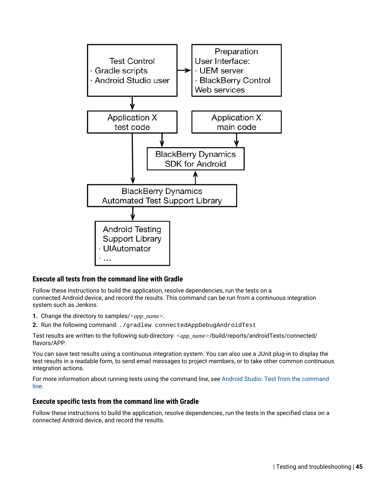

### <span id="page-44-0"></span>**Execute all tests from the command line with Gradle**

Follow these instructions to build the application, resolve dependencies, run the tests on a connected Android device, and record the results. This command can be run from a continuous integration system such as Jenkins.

- **1.** Change the directory to samples/  $\langle$  app\_name  $\rangle$ .
- **2.** Run the following command: ./gradlew connectedAppDebugAndroidTest

Test results are written to the following sub-directory: *<app\_name>*/build/reports/androidTests/connected/ flavors/APP.

You can save test results using a continuous integration system. You can also use a JUnit plug-in to display the test results in a readable form, to send email messages to project members, or to take other common continuous integration actions.

For more information about running tests using the command line, see [Android Studio: Test from the command](https://developer.android.com/tools/testing/testing_otheride.html) [line.](https://developer.android.com/tools/testing/testing_otheride.html)

### <span id="page-44-1"></span>**Execute specific tests from the command line with Gradle**

Follow these instructions to build the application, resolve dependencies, run the tests in the specified class on a connected Android device, and record the results.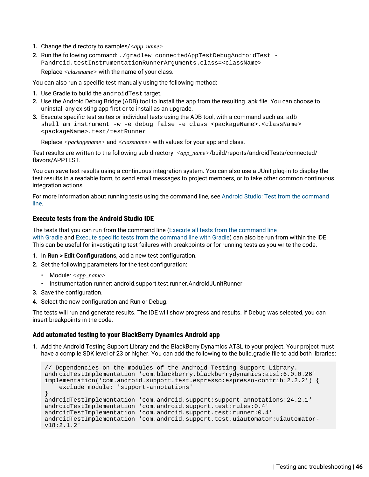- **1.** Change the directory to samples/*<app\_name>*.
- **2.** Run the following command: ./gradlew connectedAppTestDebugAndroidTest -Pandroid.testInstrumentationRunnerArguments.class=<className> Replace *<classname>* with the name of your class.

You can also run a specific test manually using the following method:

- **1.** Use Gradle to build the androidTest target.
- **2.** Use the Android Debug Bridge (ADB) tool to install the app from the resulting .apk file. You can choose to uninstall any existing app first or to install as an upgrade.
- **3.** Execute specific test suites or individual tests using the ADB tool, with a command such as: adb shell am instrument -w -e debug false -e class <packageName>.<className> <packageName>.test/testRunner

Replace *<packagename>* and *<classname>* with values for your app and class.

Test results are written to the following sub-directory: <app\_name>/build/reports/androidTests/connected/ flavors/APPTEST.

You can save test results using a continuous integration system. You can also use a JUnit plug-in to display the test results in a readable form, to send email messages to project members, or to take other common continuous integration actions.

For more information about running tests using the command line, see [Android Studio: Test from the command](https://developer.android.com/tools/testing/testing_otheride.html) [line.](https://developer.android.com/tools/testing/testing_otheride.html)

### <span id="page-45-0"></span>**Execute tests from the Android Studio IDE**

The tests that you can run from the command line ([Execute all tests from the command line](#page-44-0) [with Gradle](#page-44-0) and [Execute specific tests from the command line with Gradle](#page-44-1)) can also be run from within the IDE. This can be useful for investigating test failures with breakpoints or for running tests as you write the code.

- **1.** In **Run > Edit Configurations**, add a new test configuration.
- **2.** Set the following parameters for the test configuration:
	- Module: *<app\_name>*
	- Instrumentation runner: android.support.test.runner.AndroidJUnitRunner
- **3.** Save the configuration.
- **4.** Select the new configuration and Run or Debug.

The tests will run and generate results. The IDE will show progress and results. If Debug was selected, you can insert breakpoints in the code.

### <span id="page-45-1"></span>**Add automated testing to your BlackBerry Dynamics Android app**

**1.** Add the Android Testing Support Library and the BlackBerry Dynamics ATSL to your project. Your project must have a compile SDK level of 23 or higher. You can add the following to the build.gradle file to add both libraries:

```
// Dependencies on the modules of the Android Testing Support Library.
androidTestImplementation 'com.blackberry.blackberrydynamics:atsl:6.0.0.26'
implementation('com.android.support.test.espresso:espresso-contrib:2.2.2') {
     exclude module: 'support-annotations'
}
androidTestImplementation 'com.android.support:support-annotations:24.2.1'
androidTestImplementation 'com.android.support.test:rules:0.4'
androidTestImplementation 'com.android.support.test:runner:0.4'
androidTestImplementation 'com.android.support.test.uiautomator:uiautomator-
v18:2.1.2'
```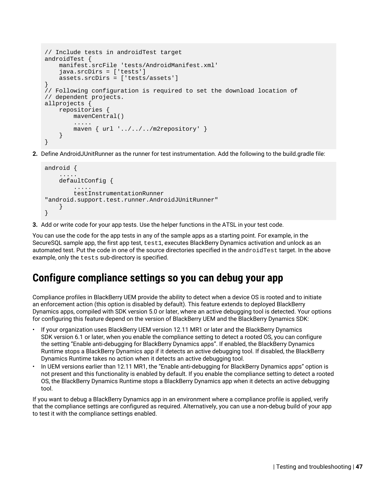```
// Include tests in androidTest target
androidTest {
    manifest.srcFile 'tests/AndroidManifest.xml'
     java.srcDirs = ['tests']
    assets.srcDirs = ['tests/assets']
}
// Following configuration is required to set the download location of
// dependent projects.
allprojects {
    repositories {
         mavenCentral()
         .....
         maven { url '../../../m2repository' } 
     }
}
```
**2.** Define AndroidJUnitRunner as the runner for test instrumentation. Add the following to the build.gradle file:

```
android {
     .....
     defaultConfig {
         .....
         testInstrumentationRunner
"android.support.test.runner.AndroidJUnitRunner"
     }
}
```
**3.** Add or write code for your app tests. Use the helper functions in the ATSL in your test code.

You can use the code for the app tests in any of the sample apps as a starting point. For example, in the SecureSQL sample app, the first app test, test1, executes BlackBerry Dynamics activation and unlock as an automated test. Put the code in one of the source directories specified in the androidTest target. In the above example, only the tests sub-directory is specified.

### <span id="page-46-0"></span>**Configure compliance settings so you can debug your app**

Compliance profiles in BlackBerry UEM provide the ability to detect when a device OS is rooted and to initiate an enforcement action (this option is disabled by default). This feature extends to deployed BlackBerry Dynamics apps, compiled with SDK version 5.0 or later, where an active debugging tool is detected. Your options for configuring this feature depend on the version of BlackBerry UEM and the BlackBerry Dynamics SDK:

- If your organization uses BlackBerry UEM version 12.11 MR1 or later and the BlackBerry Dynamics SDK version 6.1 or later, when you enable the compliance setting to detect a rooted OS, you can configure the setting "Enable anti-debugging for BlackBerry Dynamics apps". If enabled, the BlackBerry Dynamics Runtime stops a BlackBerry Dynamics app if it detects an active debugging tool. If disabled, the BlackBerry Dynamics Runtime takes no action when it detects an active debugging tool.
- In UEM versions earlier than 12.11 MR1, the "Enable anti-debugging for BlackBerry Dynamics apps" option is not present and this functionality is enabled by default. If you enable the compliance setting to detect a rooted OS, the BlackBerry Dynamics Runtime stops a BlackBerry Dynamics app when it detects an active debugging tool.

If you want to debug a BlackBerry Dynamics app in an environment where a compliance profile is applied, verify that the compliance settings are configured as required. Alternatively, you can use a non-debug build of your app to test it with the compliance settings enabled.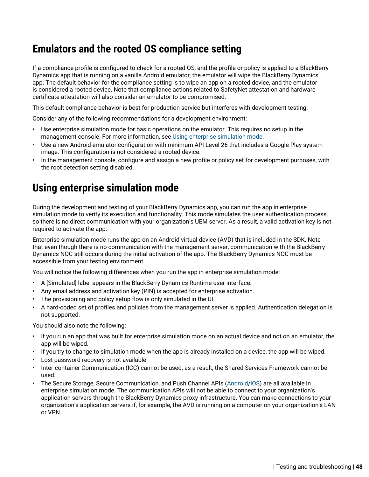# <span id="page-47-0"></span>**Emulators and the rooted OS compliance setting**

If a compliance profile is configured to check for a rooted OS, and the profile or policy is applied to a BlackBerry Dynamics app that is running on a vanilla Android emulator, the emulator will wipe the BlackBerry Dynamics app. The default behavior for the compliance setting is to wipe an app on a rooted device, and the emulator is considered a rooted device. Note that compliance actions related to SafetyNet attestation and hardware certificate attestation will also consider an emulator to be compromised.

This default compliance behavior is best for production service but interferes with development testing.

Consider any of the following recommendations for a development environment:

- Use enterprise simulation mode for basic operations on the emulator. This requires no setup in the management console. For more information, see [Using enterprise simulation mode.](#page-47-1)
- Use a new Android emulator configuration with minimum API Level 26 that includes a Google Play system image. This configuration is not considered a rooted device.
- In the management console, configure and assign a new profile or policy set for development purposes, with the root detection setting disabled.

## <span id="page-47-1"></span>**Using enterprise simulation mode**

During the development and testing of your BlackBerry Dynamics app, you can run the app in enterprise simulation mode to verify its execution and functionality. This mode simulates the user authentication process, so there is no direct communication with your organization's UEM server. As a result, a valid activation key is not required to activate the app.

Enterprise simulation mode runs the app on an Android virtual device (AVD) that is included in the SDK. Note that even though there is no communication with the management server, communication with the BlackBerry Dynamics NOC still occurs during the initial activation of the app. The BlackBerry Dynamics NOC must be accessible from your testing environment.

You will notice the following differences when you run the app in enterprise simulation mode:

- A [Simulated] label appears in the BlackBerry Dynamics Runtime user interface.
- Any email address and activation key (PIN) is accepted for enterprise activation.
- The provisioning and policy setup flow is only simulated in the UI.
- A hard-coded set of profiles and policies from the management server is applied. Authentication delegation is not supported.

You should also note the following:

- If you run an app that was built for enterprise simulation mode on an actual device and not on an emulator, the app will be wiped.
- If you try to change to simulation mode when the app is already installed on a device, the app will be wiped.
- Lost password recovery is not available.
- Inter-container Communication (ICC) cannot be used; as a result, the Shared Services Framework cannot be used.
- The Secure Storage, Secure Communication, and Push Channel APIs ([Android/](https://developer.blackberry.com/files/blackberry-dynamics/android/index.html)[iOS](https://developer.blackberry.com/files/blackberry-dynamics/ios/)) are all available in enterprise simulation mode. The communication APIs will not be able to connect to your organization's application servers through the BlackBerry Dynamics proxy infrastructure. You can make connections to your organization's application servers if, for example, the AVD is running on a computer on your organization's LAN or VPN.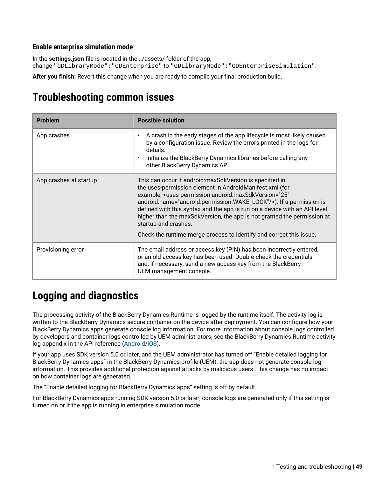### <span id="page-48-0"></span>**Enable enterprise simulation mode**

In the **settings.json** file is located in the ../assets/ folder of the app, change "GDLibraryMode":"GDEnterprise" to "GDLibraryMode":"GDEnterpriseSimulation".

**After you finish:** Revert this change when you are ready to compile your final production build.

## <span id="page-48-1"></span>**Troubleshooting common issues**

| <b>Problem</b>         | <b>Possible solution</b>                                                                                                                                                                                                                                                                                                                                                                                                                                                                                                               |
|------------------------|----------------------------------------------------------------------------------------------------------------------------------------------------------------------------------------------------------------------------------------------------------------------------------------------------------------------------------------------------------------------------------------------------------------------------------------------------------------------------------------------------------------------------------------|
| App crashes            | A crash in the early stages of the app lifecycle is most likely caused<br>by a configuration issue. Review the errors printed in the logs for<br>details.<br>Initialize the BlackBerry Dynamics libraries before calling any<br>$\bullet$<br>other BlackBerry Dynamics API.                                                                                                                                                                                                                                                            |
| App crashes at startup | This can occur if android: max SdkVersion is specified in<br>the uses-permission element in AndroidManifest.xml (for<br>example, <uses-permission <br="" android:maxsdkversion="25">android:name="android.permission.WAKE_LOCK"/&gt;). If a permission is<br/>defined with this syntax and the app is run on a device with an API level<br/>higher than the maxSdkVersion, the app is not granted the permission at<br/>startup and crashes.<br/>Check the runtime merge process to identify and correct this issue.</uses-permission> |
| Provisioning error     | The email address or access key (PIN) has been incorrectly entered,<br>or an old access key has been used. Double-check the credentials<br>and, if necessary, send a new access key from the BlackBerry<br>UEM management console.                                                                                                                                                                                                                                                                                                     |

# <span id="page-48-2"></span>**Logging and diagnostics**

The processing activity of the BlackBerry Dynamics Runtime is logged by the runtime itself. The activity log is written to the BlackBerry Dynamics secure container on the device after deployment. You can configure how your BlackBerry Dynamics apps generate console log information. For more information about console logs controlled by developers and container logs controlled by UEM administrators, see the BlackBerry Dynamics Runtime activity log appendix in the API reference [\(Android/](https://developer.blackberry.com/files/blackberry-dynamics/android/logging.html)[iOS](https://developer.blackberry.com/files/blackberry-dynamics/ios/logging.html)).

If your app uses SDK version 5.0 or later, and the UEM administrator has turned off "Enable detailed logging for BlackBerry Dynamics apps" in the BlackBerry Dynamics profile (UEM), the app does not generate console log information. This provides additional protection against attacks by malicious users. This change has no impact on how container logs are generated.

The "Enable detailed logging for BlackBerry Dynamics apps" setting is off by default.

For BlackBerry Dynamics apps running SDK version 5.0 or later, console logs are generated only if this setting is turned on or if the app is running in enterprise simulation mode.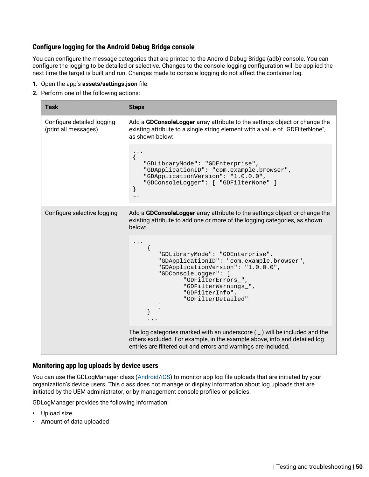### <span id="page-49-0"></span>**Configure logging for the Android Debug Bridge console**

You can configure the message categories that are printed to the Android Debug Bridge (adb) console. You can configure the logging to be detailed or selective. Changes to the console logging configuration will be applied the next time the target is built and run. Changes made to console logging do not affect the container log.

- **1.** Open the app's **assets/settings.json** file.
- **2.** Perform one of the following actions:

| <b>Task</b>                                        | <b>Steps</b>                                                                                                                                                                                                                       |
|----------------------------------------------------|------------------------------------------------------------------------------------------------------------------------------------------------------------------------------------------------------------------------------------|
| Configure detailed logging<br>(print all messages) | Add a GDConsoleLogger array attribute to the settings object or change the<br>existing attribute to a single string element with a value of "GDFilterNone",<br>as shown below:                                                     |
|                                                    | "GDLibraryMode": "GDEnterprise",<br>"GDApplicationID": "com.example.browser",<br>"GDApplicationVersion": "1.0.0.0",<br>"GDConsoleLogger": [ "GDFilterNone" ]                                                                       |
| Configure selective logging                        | Add a GDConsoleLogger array attribute to the settings object or change the<br>existing attribute to add one or more of the logging categories, as shown<br>below:                                                                  |
|                                                    | "GDLibraryMode": "GDEnterprise",<br>"GDApplicationID": "com.example.browser",<br>"GDApplicationVersion": "1.0.0.0",<br>"GDConsoleLogger": [<br>"GDFilterErrors_",<br>"GDFilterWarnings_",<br>"GDFilterInfo",<br>"GDFilterDetailed" |
|                                                    | The log categories marked with an underscore $($ $)$ will be included and the<br>others excluded. For example, in the example above, info and detailed log<br>entries are filtered out and errors and warnings are included.       |

### <span id="page-49-1"></span>**Monitoring app log uploads by device users**

You can use the GDLogManager class [\(Android](https://developer.blackberry.com/files/blackberry-dynamics/android/classcom_1_1good_1_1gd_1_1log_1_1_g_d_log_manager.html)[/iOS\)](https://developer.blackberry.com/files/blackberry-dynamics/ios/interface_g_d_log_manager.html) to monitor app log file uploads that are initiated by your organization's device users. This class does not manage or display information about log uploads that are initiated by the UEM administrator, or by management console profiles or policies.

GDLogManager provides the following information:

- Upload size
- Amount of data uploaded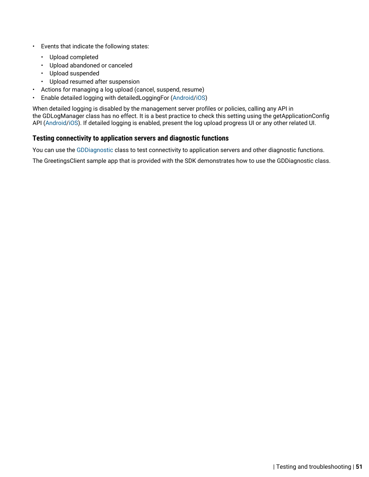- Events that indicate the following states:
	- Upload completed
	- Upload abandoned or canceled
	- Upload suspended
	- Upload resumed after suspension
- Actions for managing a log upload (cancel, suspend, resume)
- Enable detailed logging with detailedLoggingFor ([Android](https://developer.blackberry.com/files/blackberry-dynamics/android/classcom_1_1good_1_1gd_1_1log_1_1_g_d_log_manager.html#a771a122d0e5606b1a1d429423ae5cd42)/[iOS\)](https://developer.blackberry.com/files/blackberry-dynamics/ios/interface_g_d_log_manager.html#a1af99c2bf802b1a62c9b529386638799)

When detailed logging is disabled by the management server profiles or policies, calling any API in the GDLogManager class has no effect. It is a best practice to check this setting using the getApplicationConfig API [\(Android](https://developer.blackberry.com/files/blackberry-dynamics/android/classcom_1_1good_1_1gd_1_1_g_d_android.html#aedeeab3604d3316fee1fda12cda56b8f)[/iOS\)](https://developer.blackberry.com/files/blackberry-dynamics/ios/interface_g_di_o_s.html#adc4112c998ad90c1f7e4fd162424ce1a). If detailed logging is enabled, present the log upload progress UI or any other related UI.

### <span id="page-50-0"></span>**Testing connectivity to application servers and diagnostic functions**

You can use the [GDDiagnostic](https://developer.blackberry.com/files/blackberry-dynamics/android/classcom_1_1good_1_1gd_1_1diagnostic_1_1_g_d_diagnostic.html) class to test connectivity to application servers and other diagnostic functions.

The GreetingsClient sample app that is provided with the SDK demonstrates how to use the GDDiagnostic class.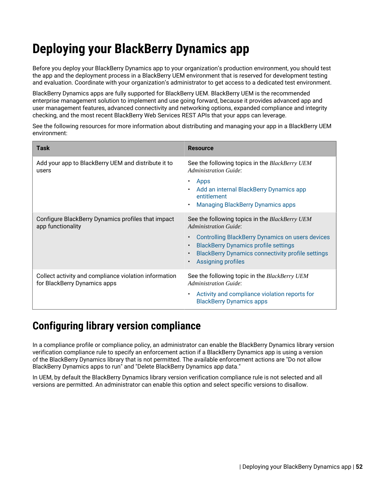# <span id="page-51-0"></span>**Deploying your BlackBerry Dynamics app**

Before you deploy your BlackBerry Dynamics app to your organization's production environment, you should test the app and the deployment process in a BlackBerry UEM environment that is reserved for development testing and evaluation. Coordinate with your organization's administrator to get access to a dedicated test environment.

BlackBerry Dynamics apps are fully supported for BlackBerry UEM. BlackBerry UEM is the recommended enterprise management solution to implement and use going forward, because it provides advanced app and user management features, advanced connectivity and networking options, expanded compliance and integrity checking, and the most recent BlackBerry Web Services REST APIs that your apps can leverage.

See the following resources for more information about distributing and managing your app in a BlackBerry UEM environment:

| <b>Task</b>                                                                           | <b>Resource</b>                                                                                                                                                                                                                                     |
|---------------------------------------------------------------------------------------|-----------------------------------------------------------------------------------------------------------------------------------------------------------------------------------------------------------------------------------------------------|
| Add your app to BlackBerry UEM and distribute it to<br>users                          | See the following topics in the BlackBerry UEM<br>Administration Guide:                                                                                                                                                                             |
|                                                                                       | Apps<br>$\bullet$<br>Add an internal BlackBerry Dynamics app<br>$\bullet$<br>entitlement<br><b>Managing BlackBerry Dynamics apps</b><br>$\bullet$                                                                                                   |
| Configure BlackBerry Dynamics profiles that impact<br>app functionality               | See the following topics in the BlackBerry UEM<br>Administration Guide:                                                                                                                                                                             |
|                                                                                       | <b>Controlling BlackBerry Dynamics on users devices</b><br>$\bullet$<br><b>BlackBerry Dynamics profile settings</b><br>$\bullet$<br><b>BlackBerry Dynamics connectivity profile settings</b><br>$\bullet$<br><b>Assigning profiles</b><br>$\bullet$ |
| Collect activity and compliance violation information<br>for BlackBerry Dynamics apps | See the following topic in the BlackBerry UEM<br>Administration Guide:                                                                                                                                                                              |
|                                                                                       | Activity and compliance violation reports for<br>$\bullet$<br><b>BlackBerry Dynamics apps</b>                                                                                                                                                       |

# <span id="page-51-1"></span>**Configuring library version compliance**

In a compliance profile or compliance policy, an administrator can enable the BlackBerry Dynamics library version verification compliance rule to specify an enforcement action if a BlackBerry Dynamics app is using a version of the BlackBerry Dynamics library that is not permitted. The available enforcement actions are "Do not allow BlackBerry Dynamics apps to run" and "Delete BlackBerry Dynamics app data."

In UEM, by default the BlackBerry Dynamics library version verification compliance rule is not selected and all versions are permitted. An administrator can enable this option and select specific versions to disallow.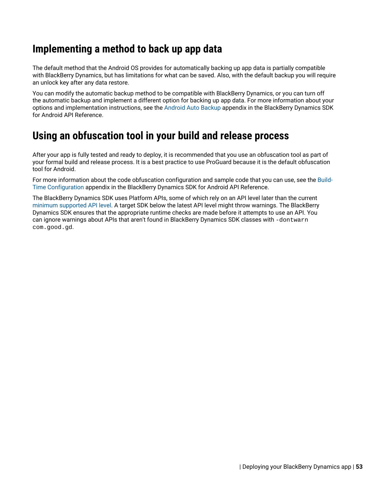# <span id="page-52-0"></span>**Implementing a method to back up app data**

The default method that the Android OS provides for automatically backing up app data is partially compatible with BlackBerry Dynamics, but has limitations for what can be saved. Also, with the default backup you will require an unlock key after any data restore.

You can modify the automatic backup method to be compatible with BlackBerry Dynamics, or you can turn off the automatic backup and implement a different option for backing up app data. For more information about your options and implementation instructions, see the [Android Auto Backup](https://developer.blackberry.com/files/blackberry-dynamics/android/_android_auto_backup.html) appendix in the BlackBerry Dynamics SDK for Android API Reference.

# <span id="page-52-1"></span>**Using an obfuscation tool in your build and release process**

After your app is fully tested and ready to deploy, it is recommended that you use an obfuscation tool as part of your formal build and release process. It is a best practice to use ProGuard because it is the default obfuscation tool for Android.

For more information about the code obfuscation configuration and sample code that you can use, see the [Build-](https://developer.blackberry.com/files/blackberry-dynamics/android/_build_time_configuration.html)[Time Configuration](https://developer.blackberry.com/files/blackberry-dynamics/android/_build_time_configuration.html) appendix in the BlackBerry Dynamics SDK for Android API Reference.

The BlackBerry Dynamics SDK uses Platform APIs, some of which rely on an API level later than the current [minimum supported API level](#page-12-1). A target SDK below the latest API level might throw warnings. The BlackBerry Dynamics SDK ensures that the appropriate runtime checks are made before it attempts to use an API. You can ignore warnings about APIs that aren't found in BlackBerry Dynamics SDK classes with -dontwarn com.good.gd.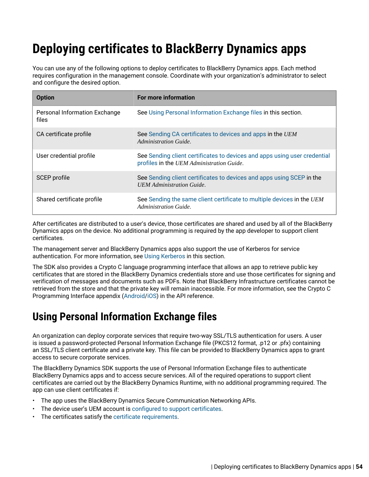# <span id="page-53-0"></span>**Deploying certificates to BlackBerry Dynamics apps**

You can use any of the following options to deploy certificates to BlackBerry Dynamics apps. Each method requires configuration in the management console. Coordinate with your organization's administrator to select and configure the desired option.

| <b>Option</b>                          | For more information                                                                                                   |
|----------------------------------------|------------------------------------------------------------------------------------------------------------------------|
| Personal Information Exchange<br>files | See Using Personal Information Exchange files in this section.                                                         |
| CA certificate profile                 | See Sending CA certificates to devices and apps in the UEM<br>Administration Guide.                                    |
| User credential profile                | See Sending client certificates to devices and apps using user credential<br>profiles in the UEM Administration Guide. |
| SCEP profile                           | See Sending client certificates to devices and apps using SCEP in the<br><b>UEM</b> Administration Guide.              |
| Shared certificate profile             | See Sending the same client certificate to multiple devices in the UEM<br>Administration Guide.                        |

After certificates are distributed to a user's device, those certificates are shared and used by all of the BlackBerry Dynamics apps on the device. No additional programming is required by the app developer to support client certificates.

The management server and BlackBerry Dynamics apps also support the use of Kerberos for service authentication. For more information, see [Using Kerberos](#page-55-0) in this section.

The SDK also provides a Crypto C language programming interface that allows an app to retrieve public key certificates that are stored in the BlackBerry Dynamics credentials store and use those certificates for signing and verification of messages and documents such as PDFs. Note that BlackBerry Infrastructure certificates cannot be retrieved from the store and that the private key will remain inaccessible. For more information, see the Crypto C Programming Interface appendix ([Android](https://developer.blackberry.com/files/blackberry-dynamics/android/crypto.html)/[iOS\)](https://developer.blackberry.com/files/blackberry-dynamics/ios/crypto.html) in the API reference.

# <span id="page-53-1"></span>**Using Personal Information Exchange files**

An organization can deploy corporate services that require two-way SSL/TLS authentication for users. A user is issued a password-protected Personal Information Exchange file (PKCS12 format, .p12 or .pfx) containing an SSL/TLS client certificate and a private key. This file can be provided to BlackBerry Dynamics apps to grant access to secure corporate services.

The BlackBerry Dynamics SDK supports the use of Personal Information Exchange files to authenticate BlackBerry Dynamics apps and to access secure services. All of the required operations to support client certificates are carried out by the BlackBerry Dynamics Runtime, with no additional programming required. The app can use client certificates if:

- The app uses the BlackBerry Dynamics Secure Communication Networking APIs.
- The device user's UEM account is [configured to support certificates](#page-54-0).
- The certificates satisfy the [certificate requirements](#page-54-1).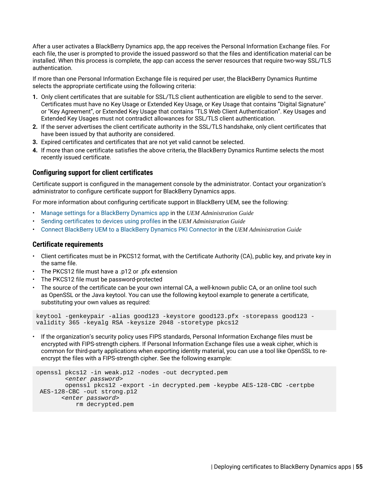After a user activates a BlackBerry Dynamics app, the app receives the Personal Information Exchange files. For each file, the user is prompted to provide the issued password so that the files and identification material can be installed. When this process is complete, the app can access the server resources that require two-way SSL/TLS authentication.

If more than one Personal Information Exchange file is required per user, the BlackBerry Dynamics Runtime selects the appropriate certificate using the following criteria:

- **1.** Only client certificates that are suitable for SSL/TLS client authentication are eligible to send to the server. Certificates must have no Key Usage or Extended Key Usage, or Key Usage that contains "Digital Signature" or "Key Agreement", or Extended Key Usage that contains "TLS Web Client Authentication". Key Usages and Extended Key Usages must not contradict allowances for SSL/TLS client authentication.
- **2.** If the server advertises the client certificate authority in the SSL/TLS handshake, only client certificates that have been issued by that authority are considered.
- **3.** Expired certificates and certificates that are not yet valid cannot be selected.
- **4.** If more than one certificate satisfies the above criteria, the BlackBerry Dynamics Runtime selects the most recently issued certificate.

### <span id="page-54-0"></span>**Configuring support for client certificates**

Certificate support is configured in the management console by the administrator. Contact your organization's administrator to configure certificate support for BlackBerry Dynamics apps.

For more information about configuring certificate support in BlackBerry UEM, see the following:

- [Manage settings for a BlackBerry Dynamics app](https://docs.blackberry.com/en/endpoint-management/blackberry-uem/current/administration/blackberry-dynamics/vvq1471962941016) in the *UEM Administration Guide*
- [Sending certificates to devices using profiles](https://docs.blackberry.com/en/endpoint-management/blackberry-uem/current/administration/pki-certificates/amo1418143666469) in the *UEM Administration Guide*
- [Connect BlackBerry UEM to a BlackBerry Dynamics PKI Connector](https://docs.blackberry.com/en/endpoint-management/blackberry-uem/current/administration/pki-certificates/pki-software/blackberry-dynamics-pki-connector) in the *UEM Administration Guide*

### <span id="page-54-1"></span>**Certificate requirements**

- Client certificates must be in PKCS12 format, with the Certificate Authority (CA), public key, and private key in the same file.
- The PKCS12 file must have a .p12 or .pfx extension
- The PKCS12 file must be password-protected
- The source of the certificate can be your own internal CA, a well-known public CA, or an online tool such as OpenSSL or the Java keytool. You can use the following keytool example to generate a certificate, substituting your own values as required:

```
keytool -genkeypair -alias good123 -keystore good123.pfx -storepass good123 -
validity 365 -keyalg RSA -keysize 2048 -storetype pkcs12
```
• If the organization's security policy uses FIPS standards, Personal Information Exchange files must be encrypted with FIPS-strength ciphers. If Personal Information Exchange files use a weak cipher, which is common for third-party applications when exporting identity material, you can use a tool like OpenSSL to reencrypt the files with a FIPS-strength cipher. See the following example:

```
openssl pkcs12 -in weak.p12 -nodes -out decrypted.pem
         <enter password>
         openssl pkcs12 -export -in decrypted.pem -keypbe AES-128-CBC -certpbe 
  AES-128-CBC -out strong.p12
        <enter password>
            rm decrypted.pem
```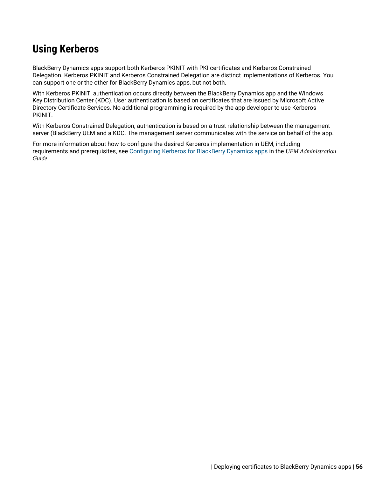# <span id="page-55-0"></span>**Using Kerberos**

BlackBerry Dynamics apps support both Kerberos PKINIT with PKI certificates and Kerberos Constrained Delegation. Kerberos PKINIT and Kerberos Constrained Delegation are distinct implementations of Kerberos. You can support one or the other for BlackBerry Dynamics apps, but not both.

With Kerberos PKINIT, authentication occurs directly between the BlackBerry Dynamics app and the Windows Key Distribution Center (KDC). User authentication is based on certificates that are issued by Microsoft Active Directory Certificate Services. No additional programming is required by the app developer to use Kerberos PKINIT.

With Kerberos Constrained Delegation, authentication is based on a trust relationship between the management server (BlackBerry UEM and a KDC. The management server communicates with the service on behalf of the app.

For more information about how to configure the desired Kerberos implementation in UEM, including requirements and prerequisites, see [Configuring Kerberos for BlackBerry Dynamics apps](https://docs.blackberry.com/en/endpoint-management/blackberry-uem/current/installation-configuration/configuration/ski1473699481442/Kerberos-Constrained-Delegation) in the *UEM Administration Guide*.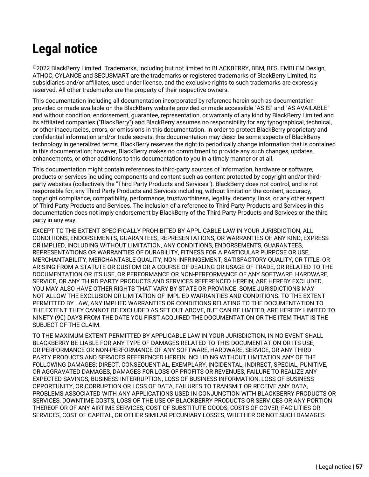# <span id="page-56-0"></span>**Legal notice**

©2022 BlackBerry Limited. Trademarks, including but not limited to BLACKBERRY, BBM, BES, EMBLEM Design, ATHOC, CYLANCE and SECUSMART are the trademarks or registered trademarks of BlackBerry Limited, its subsidiaries and/or affiliates, used under license, and the exclusive rights to such trademarks are expressly reserved. All other trademarks are the property of their respective owners.

This documentation including all documentation incorporated by reference herein such as documentation provided or made available on the BlackBerry website provided or made accessible "AS IS" and "AS AVAILABLE" and without condition, endorsement, guarantee, representation, or warranty of any kind by BlackBerry Limited and its affiliated companies ("BlackBerry") and BlackBerry assumes no responsibility for any typographical, technical, or other inaccuracies, errors, or omissions in this documentation. In order to protect BlackBerry proprietary and confidential information and/or trade secrets, this documentation may describe some aspects of BlackBerry technology in generalized terms. BlackBerry reserves the right to periodically change information that is contained in this documentation; however, BlackBerry makes no commitment to provide any such changes, updates, enhancements, or other additions to this documentation to you in a timely manner or at all.

This documentation might contain references to third-party sources of information, hardware or software, products or services including components and content such as content protected by copyright and/or thirdparty websites (collectively the "Third Party Products and Services"). BlackBerry does not control, and is not responsible for, any Third Party Products and Services including, without limitation the content, accuracy, copyright compliance, compatibility, performance, trustworthiness, legality, decency, links, or any other aspect of Third Party Products and Services. The inclusion of a reference to Third Party Products and Services in this documentation does not imply endorsement by BlackBerry of the Third Party Products and Services or the third party in any way.

EXCEPT TO THE EXTENT SPECIFICALLY PROHIBITED BY APPLICABLE LAW IN YOUR JURISDICTION, ALL CONDITIONS, ENDORSEMENTS, GUARANTEES, REPRESENTATIONS, OR WARRANTIES OF ANY KIND, EXPRESS OR IMPLIED, INCLUDING WITHOUT LIMITATION, ANY CONDITIONS, ENDORSEMENTS, GUARANTEES, REPRESENTATIONS OR WARRANTIES OF DURABILITY, FITNESS FOR A PARTICULAR PURPOSE OR USE, MERCHANTABILITY, MERCHANTABLE QUALITY, NON-INFRINGEMENT, SATISFACTORY QUALITY, OR TITLE, OR ARISING FROM A STATUTE OR CUSTOM OR A COURSE OF DEALING OR USAGE OF TRADE, OR RELATED TO THE DOCUMENTATION OR ITS USE, OR PERFORMANCE OR NON-PERFORMANCE OF ANY SOFTWARE, HARDWARE, SERVICE, OR ANY THIRD PARTY PRODUCTS AND SERVICES REFERENCED HEREIN, ARE HEREBY EXCLUDED. YOU MAY ALSO HAVE OTHER RIGHTS THAT VARY BY STATE OR PROVINCE. SOME JURISDICTIONS MAY NOT ALLOW THE EXCLUSION OR LIMITATION OF IMPLIED WARRANTIES AND CONDITIONS. TO THE EXTENT PERMITTED BY LAW, ANY IMPLIED WARRANTIES OR CONDITIONS RELATING TO THE DOCUMENTATION TO THE EXTENT THEY CANNOT BE EXCLUDED AS SET OUT ABOVE, BUT CAN BE LIMITED, ARE HEREBY LIMITED TO NINETY (90) DAYS FROM THE DATE YOU FIRST ACQUIRED THE DOCUMENTATION OR THE ITEM THAT IS THE SUBJECT OF THE CLAIM.

TO THE MAXIMUM EXTENT PERMITTED BY APPLICABLE LAW IN YOUR JURISDICTION, IN NO EVENT SHALL BLACKBERRY BE LIABLE FOR ANY TYPE OF DAMAGES RELATED TO THIS DOCUMENTATION OR ITS USE, OR PERFORMANCE OR NON-PERFORMANCE OF ANY SOFTWARE, HARDWARE, SERVICE, OR ANY THIRD PARTY PRODUCTS AND SERVICES REFERENCED HEREIN INCLUDING WITHOUT LIMITATION ANY OF THE FOLLOWING DAMAGES: DIRECT, CONSEQUENTIAL, EXEMPLARY, INCIDENTAL, INDIRECT, SPECIAL, PUNITIVE, OR AGGRAVATED DAMAGES, DAMAGES FOR LOSS OF PROFITS OR REVENUES, FAILURE TO REALIZE ANY EXPECTED SAVINGS, BUSINESS INTERRUPTION, LOSS OF BUSINESS INFORMATION, LOSS OF BUSINESS OPPORTUNITY, OR CORRUPTION OR LOSS OF DATA, FAILURES TO TRANSMIT OR RECEIVE ANY DATA, PROBLEMS ASSOCIATED WITH ANY APPLICATIONS USED IN CONJUNCTION WITH BLACKBERRY PRODUCTS OR SERVICES, DOWNTIME COSTS, LOSS OF THE USE OF BLACKBERRY PRODUCTS OR SERVICES OR ANY PORTION THEREOF OR OF ANY AIRTIME SERVICES, COST OF SUBSTITUTE GOODS, COSTS OF COVER, FACILITIES OR SERVICES, COST OF CAPITAL, OR OTHER SIMILAR PECUNIARY LOSSES, WHETHER OR NOT SUCH DAMAGES